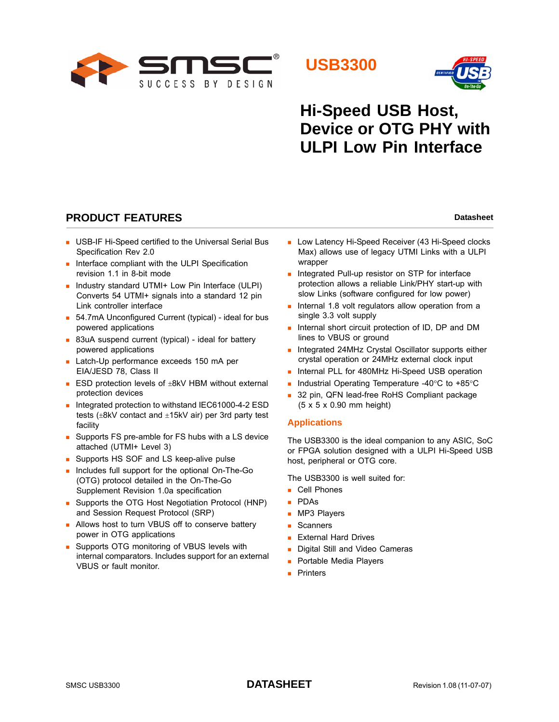





# **Hi-Speed USB Host, Device or OTG PHY with ULPI Low Pin Interface**

## **PRODUCT FEATURES Datasheet Datasheet Datasheet**

- **USB-IF Hi-Speed certified to the Universal Serial Bus** Specification Rev 2.0
- $\blacksquare$  Interface compliant with the ULPI Specification revision 1.1 in 8-bit mode
- **Industry standard UTMI+ Low Pin Interface (ULPI)** Converts 54 UTMI+ signals into a standard 12 pin Link controller interface
- 54.7mA Unconfigured Current (typical) ideal for bus powered applications
- 83uA suspend current (typical) ideal for battery powered applications
- Latch-Up performance exceeds 150 mA per EIA/JESD 78, Class II
- **ESD** protection levels of  $\pm$ 8kV HBM without external protection devices
- Integrated protection to withstand IEC61000-4-2 ESD tests (±8kV contact and ±15kV air) per 3rd party test facility
- Supports FS pre-amble for FS hubs with a LS device attached (UTMI+ Level 3)
- Supports HS SOF and LS keep-alive pulse
- **Includes full support for the optional On-The-Go** (OTG) protocol detailed in the On-The-Go Supplement Revision 1.0a specification
- Supports the OTG Host Negotiation Protocol (HNP) and Session Request Protocol (SRP)
- **Allows host to turn VBUS off to conserve battery** power in OTG applications
- **Supports OTG monitoring of VBUS levels with** internal comparators. Includes support for an external VBUS or fault monitor.
- **Low Latency Hi-Speed Receiver (43 Hi-Speed clocks** Max) allows use of legacy UTMI Links with a ULPI wrapper
- **Integrated Pull-up resistor on STP for interface** protection allows a reliable Link/PHY start-up with slow Links (software configured for low power)
- Internal 1.8 volt regulators allow operation from a single 3.3 volt supply
- **Internal short circuit protection of ID, DP and DM** lines to VBUS or ground
- **Integrated 24MHz Crystal Oscillator supports either** crystal operation or 24MHz external clock input
- **Internal PLL for 480MHz Hi-Speed USB operation**
- Industrial Operating Temperature -40 $\degree$ C to +85 $\degree$ C
- 32 pin, QFN lead-free RoHS Compliant package (5 x 5 x 0.90 mm height)

#### **Applications**

The USB3300 is the ideal companion to any ASIC, SoC or FPGA solution designed with a ULPI Hi-Speed USB host, peripheral or OTG core.

The USB3300 is well suited for:

- Cell Phones
- PDAs
- **MP3 Players**
- **Scanners**
- **External Hard Drives**
- Digital Still and Video Cameras
- **Portable Media Players**
- **Printers**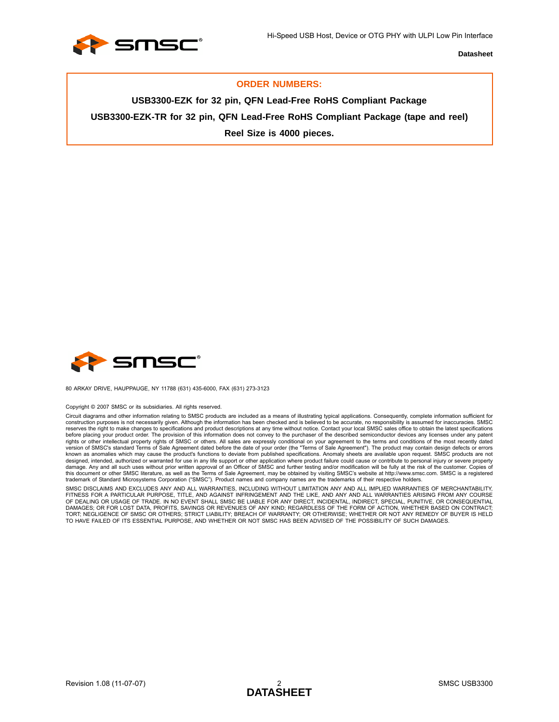

#### **ORDER NUMBERS:**

**USB3300-EZK for 32 pin, QFN Lead-Free RoHS Compliant Package USB3300-EZK-TR for 32 pin, QFN Lead-Free RoHS Compliant Package (tape and reel) Reel Size is 4000 pieces.**



80 ARKAY DRIVE, HAUPPAUGE, NY 11788 (631) 435-6000, FAX (631) 273-3123

#### Copyright © 2007 SMSC or its subsidiaries. All rights reserved.

Circuit diagrams and other information relating to SMSC products are included as a means of illustrating typical applications. Consequently, complete information sufficient for construction purposes is not necessarily given. Although the information has been checked and is believed to be accurate, no responsibility is assumed for inaccuracies. SMSC<br>reserves the right to make changes to specificat before placing your product order. The provision of this information does not convey to the purchaser of the described semiconductor devices any licenses under any patent rights or other intellectual property rights of SMSC or others. All sales are expressly conditional on your agreement to the terms and conditions of the most recently dated<br>version of SMSC's standard Terms of Sale Agreemen known as anomalies which may cause the product's functions to deviate from published specifications. Anomaly sheets are available upon request. SMSC products are not designed, intended, authorized or warranted for use in any life support or other application where product failure could cause or contribute to personal injury or severe property<br>damage. Any and all such uses without prior this document or other SMSC literature, as well as the Terms of Sale Agreement, may be obtained by visiting SMSC's website at http://www.smsc.com. SMSC is a registered trademark of Standard Microsystems Corporation ("SMSC"). Product names and company names are the trademarks of their respective holders.

SMSC DISCLAIMS AND EXCLUDES ANY AND ALL WARRANTIES, INCLUDING WITHOUT LIMITATION ANY AND ALL IMPLIED WARRANTIES OF MERCHANTABILITY, FITNESS FOR A PARTICULAR PURPOSE, TITLE, AND AGAINST INFRINGEMENT AND THE LIKE, AND ANY AND ALL WARRANTIES ARISING FROM ANY COURSE<br>OF DEALING OR USAGE OF TRADE. IN NO EVENT SHALL SMSC BE LIABLE FOR ANY DIRECT, INCIDENTAL, TORT; NEGLIGENCE OF SMSC OR OTHERS; STRICT LIABILITY; BREACH OF WARRANTY; OR OTHERWISE; WHETHER OR NOT ANY REMEDY OF BUYER IS HELD TO HAVE FAILED OF ITS ESSENTIAL PURPOSE, AND WHETHER OR NOT SMSC HAS BEEN ADVISED OF THE POSSIBILITY OF SUCH DAMAGES.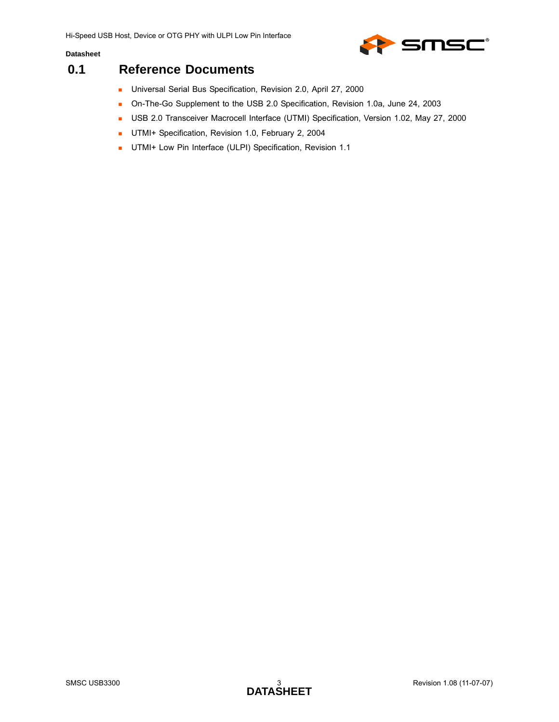



## <span id="page-2-0"></span>**0.1 Reference Documents**

- **Universal Serial Bus Specification, Revision 2.0, April 27, 2000**
- On-The-Go Supplement to the USB 2.0 Specification, Revision 1.0a, June 24, 2003
- **USB 2.0 Transceiver Macrocell Interface (UTMI) Specification, Version 1.02, May 27, 2000**
- UTMI+ Specification, Revision 1.0, February 2, 2004
- **UTMI+ Low Pin Interface (ULPI) Specification, Revision 1.1**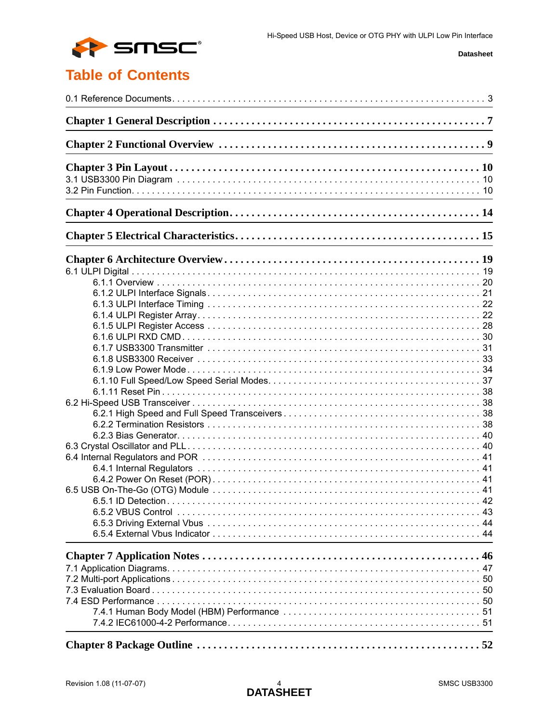

# **Table of Contents**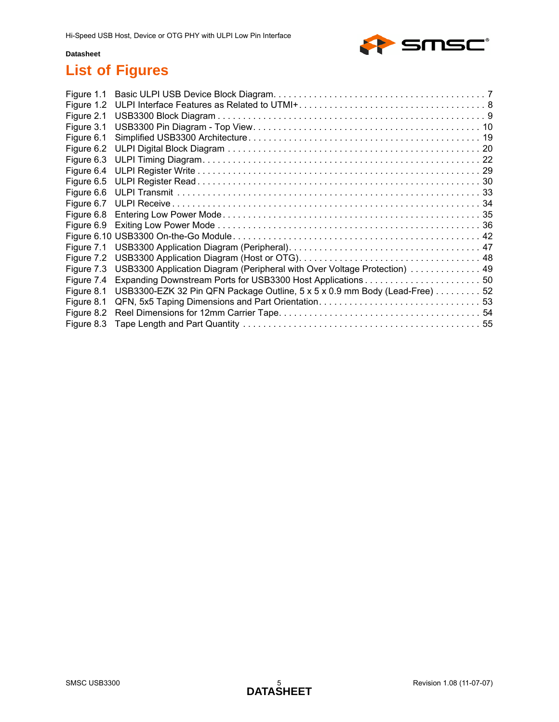

# **List of Figures**

| Figure 1.1 |                                                                            |  |
|------------|----------------------------------------------------------------------------|--|
| Figure 1.2 |                                                                            |  |
| Figure 2.1 |                                                                            |  |
| Figure 3.1 |                                                                            |  |
| Figure 6.1 |                                                                            |  |
| Figure 6.2 |                                                                            |  |
| Figure 6.3 |                                                                            |  |
| Figure 6.4 |                                                                            |  |
| Figure 6.5 |                                                                            |  |
| Figure 6.6 |                                                                            |  |
| Figure 6.7 |                                                                            |  |
| Figure 6.8 |                                                                            |  |
| Figure 6.9 |                                                                            |  |
|            |                                                                            |  |
| Figure 7.1 |                                                                            |  |
| Figure 7.2 |                                                                            |  |
| Figure 7.3 | USB3300 Application Diagram (Peripheral with Over Voltage Protection)  49  |  |
| Figure 7.4 |                                                                            |  |
| Figure 8.1 | USB3300-EZK 32 Pin QFN Package Outline, 5 x 5 x 0.9 mm Body (Lead-Free) 52 |  |
| Figure 8.1 |                                                                            |  |
| Figure 8.2 |                                                                            |  |
| Figure 8.3 |                                                                            |  |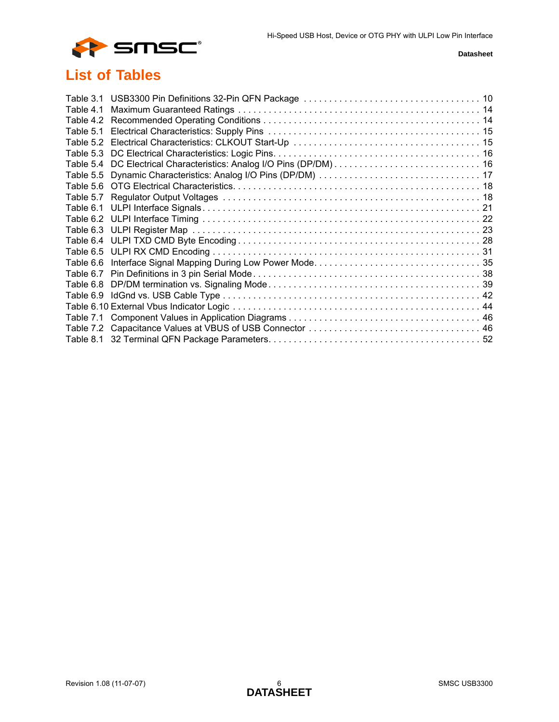

# **List of Tables**

| Table 6.7 |  |
|-----------|--|
|           |  |
|           |  |
|           |  |
|           |  |
|           |  |
|           |  |
|           |  |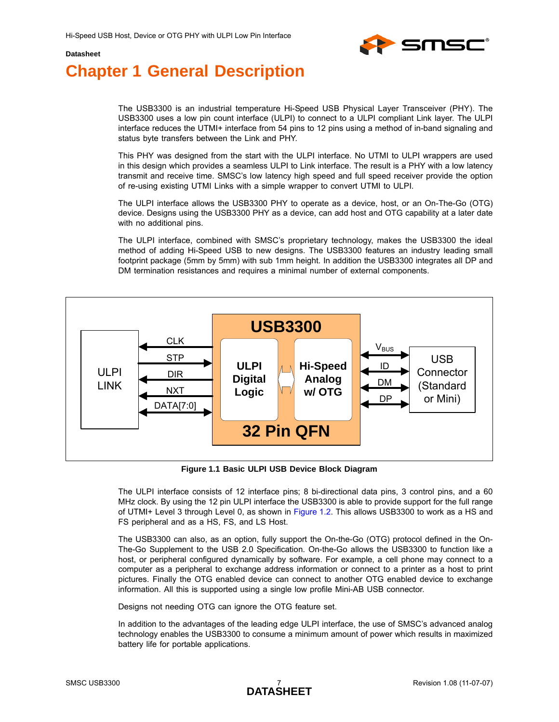

# <span id="page-6-0"></span>**Chapter 1 General Description**

The USB3300 is an industrial temperature Hi-Speed USB Physical Layer Transceiver (PHY). The USB3300 uses a low pin count interface (ULPI) to connect to a ULPI compliant Link layer. The ULPI interface reduces the UTMI+ interface from 54 pins to 12 pins using a method of in-band signaling and status byte transfers between the Link and PHY.

This PHY was designed from the start with the ULPI interface. No UTMI to ULPI wrappers are used in this design which provides a seamless ULPI to Link interface. The result is a PHY with a low latency transmit and receive time. SMSC's low latency high speed and full speed receiver provide the option of re-using existing UTMI Links with a simple wrapper to convert UTMI to ULPI.

The ULPI interface allows the USB3300 PHY to operate as a device, host, or an On-The-Go (OTG) device. Designs using the USB3300 PHY as a device, can add host and OTG capability at a later date with no additional pins.

The ULPI interface, combined with SMSC's proprietary technology, makes the USB3300 the ideal method of adding Hi-Speed USB to new designs. The USB3300 features an industry leading small footprint package (5mm by 5mm) with sub 1mm height. In addition the USB3300 integrates all DP and DM termination resistances and requires a minimal number of external components.



**Figure 1.1 Basic ULPI USB Device Block Diagram**

<span id="page-6-1"></span>The ULPI interface consists of 12 interface pins; 8 bi-directional data pins, 3 control pins, and a 60 MHz clock. By using the 12 pin ULPI interface the USB3300 is able to provide support for the full range of UTMI+ Level 3 through Level 0, as shown in [Figure 1.2](#page-7-0). This allows USB3300 to work as a HS and FS peripheral and as a HS, FS, and LS Host.

The USB3300 can also, as an option, fully support the On-the-Go (OTG) protocol defined in the On-The-Go Supplement to the USB 2.0 Specification. On-the-Go allows the USB3300 to function like a host, or peripheral configured dynamically by software. For example, a cell phone may connect to a computer as a peripheral to exchange address information or connect to a printer as a host to print pictures. Finally the OTG enabled device can connect to another OTG enabled device to exchange information. All this is supported using a single low profile Mini-AB USB connector.

Designs not needing OTG can ignore the OTG feature set.

In addition to the advantages of the leading edge ULPI interface, the use of SMSC's advanced analog technology enables the USB3300 to consume a minimum amount of power which results in maximized battery life for portable applications.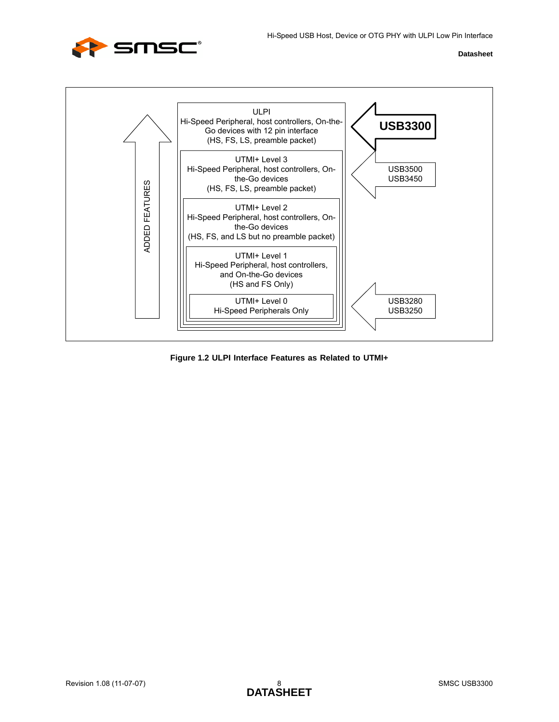



<span id="page-7-0"></span>**Figure 1.2 ULPI Interface Features as Related to UTMI+**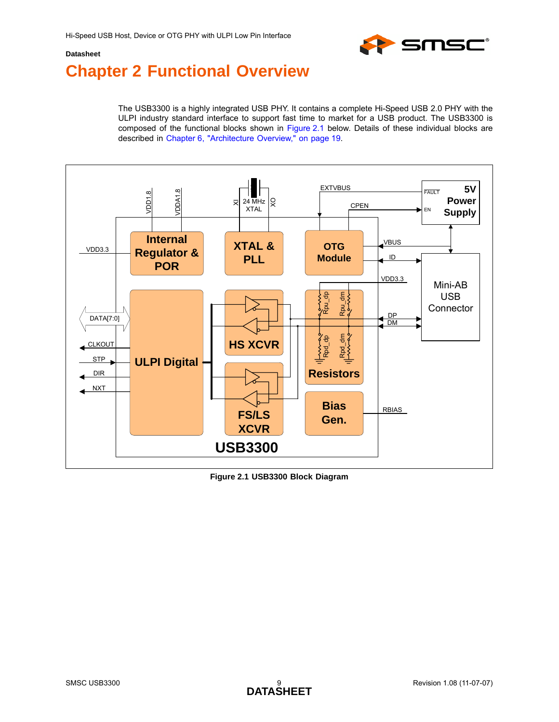

# <span id="page-8-0"></span>**Chapter 2 Functional Overview**

The USB3300 is a highly integrated USB PHY. It contains a complete Hi-Speed USB 2.0 PHY with the ULPI industry standard interface to support fast time to market for a USB product. The USB3300 is composed of the functional blocks shown in [Figure 2.1](#page-8-1) below. Details of these individual blocks are described in [Chapter 6, "Architecture Overview," on page 19](#page-18-3).



<span id="page-8-1"></span>**Figure 2.1 USB3300 Block Diagram**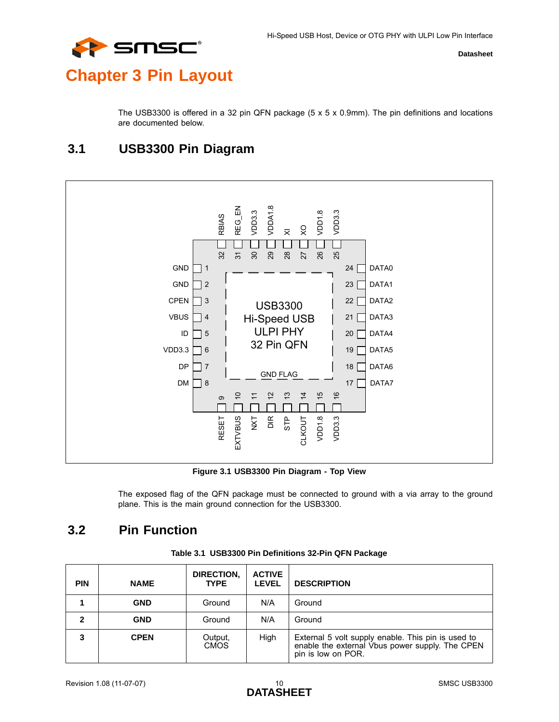

# <span id="page-9-0"></span>**Chapter 3 Pin Layout**

The USB3300 is offered in a 32 pin QFN package (5 x 5 x 0.9mm). The pin definitions and locations are documented below.

## <span id="page-9-1"></span>**3.1 USB3300 Pin Diagram**



**Figure 3.1 USB3300 Pin Diagram - Top View**

The exposed flag of the QFN package must be connected to ground with a via array to the ground plane. This is the main ground connection for the USB3300.

## <span id="page-9-3"></span><span id="page-9-2"></span>**3.2 Pin Function**

<span id="page-9-5"></span>

|  |  |  |  | Table 3.1 USB3300 Pin Definitions 32-Pin QFN Package |
|--|--|--|--|------------------------------------------------------|
|--|--|--|--|------------------------------------------------------|

<span id="page-9-4"></span>

| <b>PIN</b> | <b>NAME</b> | DIRECTION,<br><b>TYPE</b> | <b>ACTIVE</b><br><b>LEVEL</b> | <b>DESCRIPTION</b>                                                                                                          |
|------------|-------------|---------------------------|-------------------------------|-----------------------------------------------------------------------------------------------------------------------------|
|            | <b>GND</b>  | Ground                    | N/A                           | Ground                                                                                                                      |
| 2          | <b>GND</b>  | Ground                    | N/A                           | Ground                                                                                                                      |
| 3          | <b>CPEN</b> | Output,<br><b>CMOS</b>    | High                          | External 5 volt supply enable. This pin is used to<br>enable the external Vbus power supply. The CPEN<br>pin is low on POR. |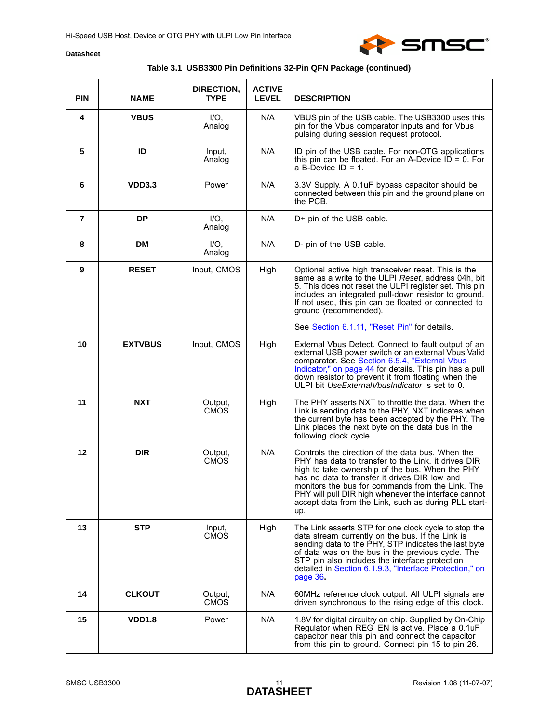

### **Table 3.1 USB3300 Pin Definitions 32-Pin QFN Package (continued)**

| <b>PIN</b>     | <b>NAME</b>    | DIRECTION,<br><b>TYPE</b> | <b>ACTIVE</b><br><b>LEVEL</b> | <b>DESCRIPTION</b>                                                                                                                                                                                                                                                                                                                                                                     |  |  |  |
|----------------|----------------|---------------------------|-------------------------------|----------------------------------------------------------------------------------------------------------------------------------------------------------------------------------------------------------------------------------------------------------------------------------------------------------------------------------------------------------------------------------------|--|--|--|
| 4              | <b>VBUS</b>    | $I/O$ .<br>Analog         | N/A                           | VBUS pin of the USB cable. The USB3300 uses this<br>pin for the Vbus comparator inputs and for Vbus<br>pulsing during session request protocol.                                                                                                                                                                                                                                        |  |  |  |
| 5              | ID             | Input,<br>Analog          | N/A                           | ID pin of the USB cable. For non-OTG applications<br>this pin can be floated. For an A-Device $ID = 0$ . For<br>a B-Device $ID = 1$ .                                                                                                                                                                                                                                                  |  |  |  |
| 6              | <b>VDD3.3</b>  | Power                     | N/A                           | 3.3V Supply. A 0.1uF bypass capacitor should be<br>connected between this pin and the ground plane on<br>the PCB.                                                                                                                                                                                                                                                                      |  |  |  |
| $\overline{7}$ | <b>DP</b>      | $I/O$ .<br>Analog         | N/A                           | D+ pin of the USB cable.                                                                                                                                                                                                                                                                                                                                                               |  |  |  |
| 8              | <b>DM</b>      | $I/O$ ,<br>Analog         | N/A                           | D- pin of the USB cable.                                                                                                                                                                                                                                                                                                                                                               |  |  |  |
| 9              | <b>RESET</b>   | Input, CMOS               | High                          | Optional active high transceiver reset. This is the<br>same as a write to the ULPI Reset, address 04h, bit<br>5. This does not reset the ULPI register set. This pin<br>includes an integrated pull-down resistor to ground.<br>If not used, this pin can be floated or connected to<br>ground (recommended).                                                                          |  |  |  |
|                |                |                           |                               | See Section 6.1.11, "Reset Pin" for details.                                                                                                                                                                                                                                                                                                                                           |  |  |  |
| 10             | <b>EXTVBUS</b> | Input, CMOS               | High                          | External Vbus Detect. Connect to fault output of an<br>external USB power switch or an external Vbus Valid<br>comparator. See Section 6.5.4, "External Vbus<br>Indicator," on page 44 for details. This pin has a pull<br>down resistor to prevent it from floating when the<br>ULPI bit UseExternalVbusIndicator is set to 0.                                                         |  |  |  |
| 11             | <b>NXT</b>     | Output,<br><b>CMOS</b>    | High                          | The PHY asserts NXT to throttle the data. When the<br>Link is sending data to the PHY, NXT indicates when<br>the current byte has been accepted by the PHY. The<br>Link places the next byte on the data bus in the<br>following clock cycle.                                                                                                                                          |  |  |  |
| 12             | <b>DIR</b>     | Output,<br><b>CMOS</b>    | N/A                           | Controls the direction of the data bus. When the<br>PHY has data to transfer to the Link, it drives DIR<br>high to take ownership of the bus. When the PHY<br>has no data to transfer it drives DIR low and<br>monitors the bus for commands from the Link. The<br>PHY will pull DIR high whenever the interface cannot<br>accept data from the Link, such as during PLL start-<br>up. |  |  |  |
| 13             | <b>STP</b>     | Input,<br><b>CMOS</b>     | High                          | The Link asserts STP for one clock cycle to stop the<br>data stream currently on the bus. If the Link is<br>sending data to the PHY, STP indicates the last byte<br>of data was on the bus in the previous cycle. The<br>STP pin also includes the interface protection<br>detailed in Section 6.1.9.3, "Interface Protection," on<br>page 36.                                         |  |  |  |
| 14             | <b>CLKOUT</b>  | Output,<br><b>CMOS</b>    | N/A                           | 60MHz reference clock output. All ULPI signals are<br>driven synchronous to the rising edge of this clock.                                                                                                                                                                                                                                                                             |  |  |  |
| 15             | <b>VDD1.8</b>  | Power                     | N/A                           | 1.8V for digital circuitry on chip. Supplied by On-Chip<br>Regulator when REG_EN is active. Place a 0.1uF<br>capacitor near this pin and connect the capacitor<br>from this pin to ground. Connect pin 15 to pin 26.                                                                                                                                                                   |  |  |  |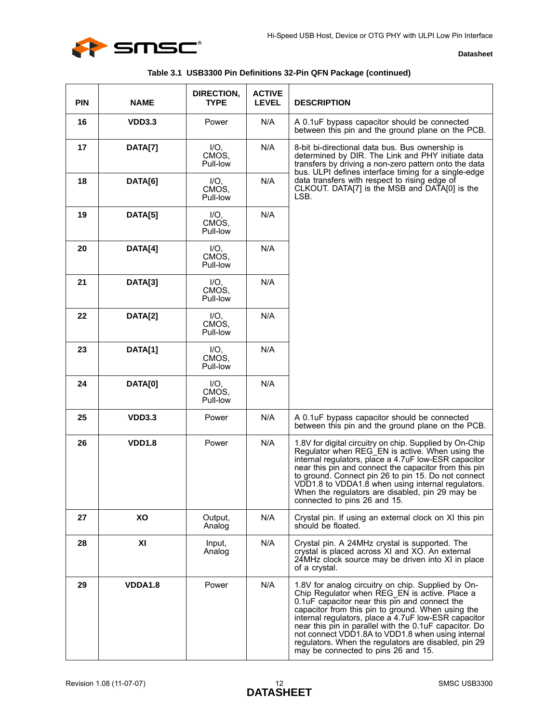

|  |  | Table 3.1 USB3300 Pin Definitions 32-Pin QFN Package (continued) |  |  |  |
|--|--|------------------------------------------------------------------|--|--|--|
|--|--|------------------------------------------------------------------|--|--|--|

| <b>PIN</b> | <b>NAME</b>   | DIRECTION,<br><b>TYPE</b>    | <b>ACTIVE</b><br><b>LEVEL</b> | <b>DESCRIPTION</b>                                                                                                                                                                                                                                                                                                                                                                                                                                                              |
|------------|---------------|------------------------------|-------------------------------|---------------------------------------------------------------------------------------------------------------------------------------------------------------------------------------------------------------------------------------------------------------------------------------------------------------------------------------------------------------------------------------------------------------------------------------------------------------------------------|
| 16         | <b>VDD3.3</b> | Power                        | N/A                           | A 0.1uF bypass capacitor should be connected<br>between this pin and the ground plane on the PCB.                                                                                                                                                                                                                                                                                                                                                                               |
| 17         | DATA[7]       | $I/O$ .<br>CMOS.<br>Pull-low | N/A                           | 8-bit bi-directional data bus. Bus ownership is<br>determined by DIR. The Link and PHY initiate data<br>transfers by driving a non-zero pattern onto the data<br>bus. ULPI defines interface timing for a single-edge                                                                                                                                                                                                                                                           |
| 18         | DATA[6]       | $I/O$ ,<br>CMOS.<br>Pull-low | N/A                           | data transfers with respect to rising edge of<br>CLKOUT. DATA[7] is the MSB and DATA[0] is the<br>LSB.                                                                                                                                                                                                                                                                                                                                                                          |
| 19         | DATA[5]       | $I/O$ ,<br>CMOS,<br>Pull-low | N/A                           |                                                                                                                                                                                                                                                                                                                                                                                                                                                                                 |
| 20         | DATA[4]       | $I/O$ ,<br>CMOS.<br>Pull-low | N/A                           |                                                                                                                                                                                                                                                                                                                                                                                                                                                                                 |
| 21         | DATA[3]       | IO.<br>CMOS,<br>Pull-low     | N/A                           |                                                                                                                                                                                                                                                                                                                                                                                                                                                                                 |
| 22         | DATA[2]       | IO.<br>CMOS,<br>Pull-low     | N/A                           |                                                                                                                                                                                                                                                                                                                                                                                                                                                                                 |
| 23         | DATA[1]       | $I/O$ .<br>CMOS,<br>Pull-low | N/A                           |                                                                                                                                                                                                                                                                                                                                                                                                                                                                                 |
| 24         | DATA[0]       | $I/O$ ,<br>CMOS,<br>Pull-low | N/A                           |                                                                                                                                                                                                                                                                                                                                                                                                                                                                                 |
| 25         | <b>VDD3.3</b> | Power                        | N/A                           | A 0.1uF bypass capacitor should be connected<br>between this pin and the ground plane on the PCB.                                                                                                                                                                                                                                                                                                                                                                               |
| 26         | <b>VDD1.8</b> | Power                        | N/A                           | 1.8V for digital circuitry on chip. Supplied by On-Chip<br>Regulator when REG_EN is active. When using the<br>internal regulators, place a 4.7uF low-ESR capacitor<br>near this pin and connect the capacitor from this pin<br>to ground. Connect pin 26 to pin 15. Do not connect<br>VDD1.8 to VDDA1.8 when using internal regulators.<br>When the regulators are disabled, pin 29 may be<br>connected to pins 26 and 15.                                                      |
| 27         | XO            | Output.<br>Analog            | N/A                           | Crystal pin. If using an external clock on XI this pin<br>should be floated.                                                                                                                                                                                                                                                                                                                                                                                                    |
| 28         | XI            | Input,<br>Analog             | N/A                           | Crystal pin. A 24MHz crystal is supported. The<br>crystal is placed across XI and XO. An external<br>24MHz clock source may be driven into XI in place<br>of a crystal.                                                                                                                                                                                                                                                                                                         |
| 29         | VDDA1.8       | Power                        | N/A                           | 1.8V for analog circuitry on chip. Supplied by On-<br>Chip Regulator when REG EN is active. Place a<br>0.1uF capacitor near this pin and connect the<br>capacitor from this pin to ground. When using the<br>internal regulators, place a 4.7uF low-ESR capacitor<br>near this pin in parallel with the 0.1uF capacitor. Do<br>not connect VDD1.8A to VDD1.8 when using internal<br>regulators. When the regulators are disabled, pin 29<br>may be connected to pins 26 and 15. |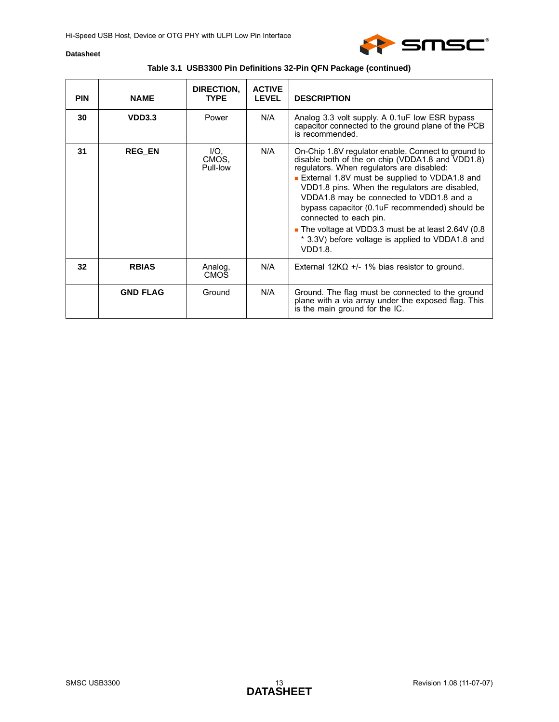

| <b>PIN</b> | <b>NAME</b>     | DIRECTION,<br><b>TYPF</b> | <b>ACTIVE</b><br><b>LEVEL</b> | <b>DESCRIPTION</b>                                                                                                                                                                                                                                                                                                                                                                                                                                                                                         |
|------------|-----------------|---------------------------|-------------------------------|------------------------------------------------------------------------------------------------------------------------------------------------------------------------------------------------------------------------------------------------------------------------------------------------------------------------------------------------------------------------------------------------------------------------------------------------------------------------------------------------------------|
| 30         | VDD3.3          | Power                     | N/A                           | Analog 3.3 volt supply. A 0.1uF low ESR bypass<br>capacitor connected to the ground plane of the PCB<br>is recommended.                                                                                                                                                                                                                                                                                                                                                                                    |
| 31         | <b>REG_EN</b>   | IO.<br>CMOS.<br>Pull-low  | N/A                           | On-Chip 1.8V regulator enable. Connect to ground to<br>disable both of the on chip (VDDA1.8 and VDD1.8)<br>regulators. When regulators are disabled:<br><b>External 1.8V must be supplied to VDDA1.8 and</b><br>VDD1.8 pins. When the regulators are disabled,<br>VDDA1.8 may be connected to VDD1.8 and a<br>bypass capacitor (0.1uF recommended) should be<br>connected to each pin.<br>The voltage at VDD3.3 must be at least 2.64V (0.8<br>* 3.3V) before voltage is applied to VDDA1.8 and<br>VDD1.8. |
| 32         | <b>RBIAS</b>    | Analog.<br><b>CMOS</b>    | N/A                           | External $12K\Omega$ +/- 1% bias resistor to ground.                                                                                                                                                                                                                                                                                                                                                                                                                                                       |
|            | <b>GND FLAG</b> | Ground                    | N/A                           | Ground. The flag must be connected to the ground<br>plane with a via array under the exposed flag. This<br>is the main ground for the IC.                                                                                                                                                                                                                                                                                                                                                                  |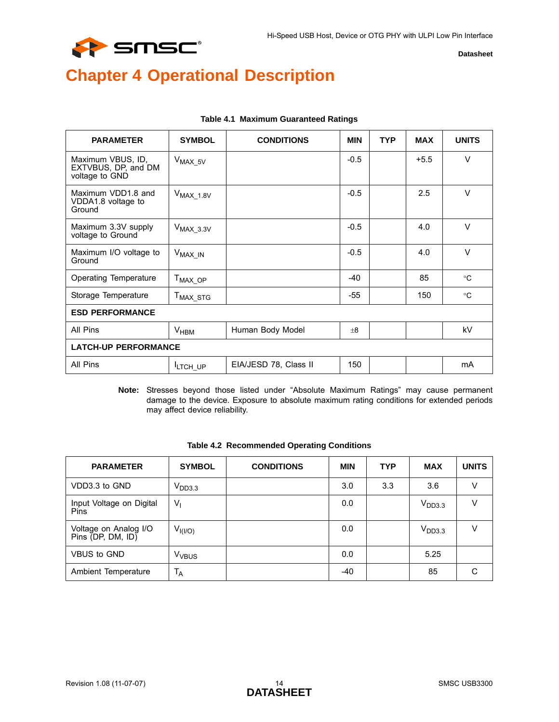

# <span id="page-13-0"></span>**Chapter 4 Operational Description**

<span id="page-13-1"></span>

| <b>PARAMETER</b>                                           | <b>SYMBOL</b>        | <b>CONDITIONS</b>     | <b>MIN</b> | <b>TYP</b> | <b>MAX</b> | <b>UNITS</b> |  |  |  |
|------------------------------------------------------------|----------------------|-----------------------|------------|------------|------------|--------------|--|--|--|
| Maximum VBUS, ID,<br>EXTVBUS, DP, and DM<br>voltage to GND | $V_{MAX_5V}$         |                       | $-0.5$     |            | $+5.5$     | $\vee$       |  |  |  |
| Maximum VDD1.8 and<br>VDDA1.8 voltage to<br>Ground         | $V_{MAX_1.8V}$       |                       | $-0.5$     |            | 2.5        | $\vee$       |  |  |  |
| Maximum 3.3V supply<br>voltage to Ground                   | $V_{MAX_3.3V}$       |                       | $-0.5$     |            | 4.0        | $\vee$       |  |  |  |
| Maximum I/O voltage to<br>Ground                           | $V_{MAX\_IN}$        |                       | $-0.5$     |            | 4.0        | $\vee$       |  |  |  |
| Operating Temperature                                      | $T_{MAX\_OP}$        |                       | $-40$      |            | 85         | $^{\circ}C$  |  |  |  |
| Storage Temperature                                        | T <sub>MAX_STG</sub> |                       | -55        |            | 150        | $^{\circ}$ C |  |  |  |
| <b>ESD PERFORMANCE</b>                                     |                      |                       |            |            |            |              |  |  |  |
| All Pins                                                   | $V_{HBM}$            | Human Body Model      | $\pm 8$    |            |            | kV           |  |  |  |
| <b>LATCH-UP PERFORMANCE</b>                                |                      |                       |            |            |            |              |  |  |  |
| All Pins                                                   | <sup>I</sup> LTCH UP | EIA/JESD 78, Class II | 150        |            |            | mA           |  |  |  |

#### **Table 4.1 Maximum Guaranteed Ratings**

**Note:** Stresses beyond those listed under "Absolute Maximum Ratings" may cause permanent damage to the device. Exposure to absolute maximum rating conditions for extended periods may affect device reliability.

<span id="page-13-2"></span>

| <b>PARAMETER</b>                           | <b>SYMBOL</b>           | <b>CONDITIONS</b> | <b>MIN</b> | <b>TYP</b> | <b>MAX</b>         | <b>UNITS</b> |
|--------------------------------------------|-------------------------|-------------------|------------|------------|--------------------|--------------|
| VDD3.3 to GND                              | V <sub>DD3.3</sub>      |                   | 3.0        | 3.3        | 3.6                | v            |
| Input Voltage on Digital<br>Pins           | $V_{1}$                 |                   | 0.0        |            | V <sub>DD3.3</sub> | V            |
| Voltage on Analog I/O<br>Pins (DP, DM, ID) | $V_{I(I/O)}$            |                   | 0.0        |            | V <sub>DD3.3</sub> | v            |
| VBUS to GND                                | <b>V<sub>VBUS</sub></b> |                   | 0.0        |            | 5.25               |              |
| Ambient Temperature                        | $T_A$                   |                   | -40        |            | 85                 | C            |

#### <span id="page-13-3"></span>**Table 4.2 Recommended Operating Conditions**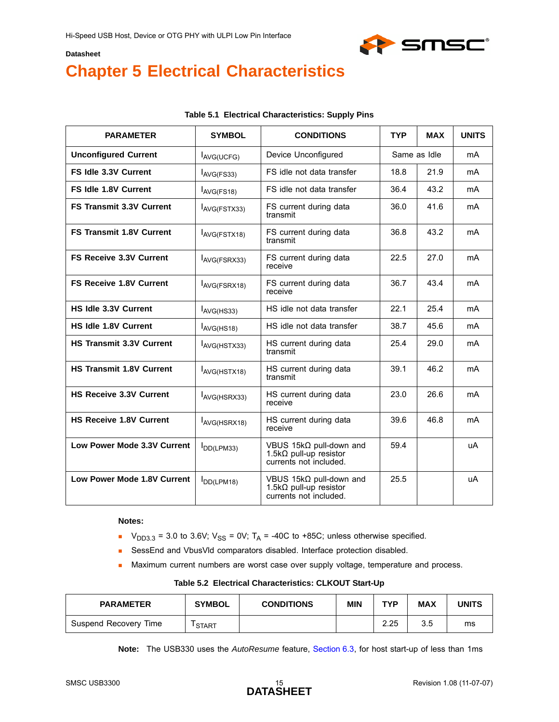

# <span id="page-14-0"></span>**Chapter 5 Electrical Characteristics**

<span id="page-14-1"></span>

| <b>PARAMETER</b>                   | <b>SYMBOL</b>   | <b>CONDITIONS</b>                                                                           | <b>TYP</b> | <b>MAX</b>   | <b>UNITS</b>   |
|------------------------------------|-----------------|---------------------------------------------------------------------------------------------|------------|--------------|----------------|
| <b>Unconfigured Current</b>        | AVG(UCFG)       | Device Unconfigured                                                                         |            | Same as Idle | mA             |
| <b>FS Idle 3.3V Current</b>        | AVG(FS33)       | FS idle not data transfer                                                                   | 18.8       | 21.9         | mA             |
| FS Idle 1.8V Current               | AVG(FS18)       | FS idle not data transfer                                                                   | 36.4       | 43.2         | mA             |
| <b>FS Transmit 3.3V Current</b>    | AVG(FSTX33)     | FS current during data<br>transmit                                                          | 36.0       | 41.6         | mA             |
| <b>FS Transmit 1.8V Current</b>    | AVG(FSTX18)     | 36.8<br>FS current during data<br>transmit                                                  |            | 43.2         | m <sub>A</sub> |
| <b>FS Receive 3.3V Current</b>     | AVG(FSRX33)     | FS current during data<br>receive                                                           | 22.5       | 27.0         | mA             |
| <b>FS Receive 1.8V Current</b>     | AVG(FSRX18)     | FS current during data<br>receive                                                           | 36.7       | 43.4         | mA             |
| HS Idle 3.3V Current               | AVG(HS33)       | HS idle not data transfer                                                                   | 22.1       | 25.4         | mA             |
| <b>HS Idle 1.8V Current</b>        | $I_{AVG(HS18)}$ | HS idle not data transfer                                                                   | 38.7       | 45.6         | mA             |
| HS Transmit 3.3V Current           | AVG(HSTX33)     | HS current during data<br>transmit                                                          | 25.4       | 29.0         | mA             |
| <b>HS Transmit 1.8V Current</b>    | AVG(HSTX18)     | HS current during data<br>transmit                                                          | 39.1       | 46.2         | m <sub>A</sub> |
| <b>HS Receive 3.3V Current</b>     | AVG(HSRX33)     | HS current during data<br>receive                                                           | 23.0       | 26.6         | mA             |
| <b>HS Receive 1.8V Current</b>     | AVG(HSRX18)     | HS current during data<br>receive                                                           | 39.6       | 46.8         | m <sub>A</sub> |
| <b>Low Power Mode 3.3V Current</b> | $I_{DD(LPM33)}$ | VBUS 15k $\Omega$ pull-down and<br>1.5k $\Omega$ pull-up resistor<br>currents not included. | 59.4       |              | uA             |
| Low Power Mode 1.8V Current        | $I_{DD(LPM18)}$ | VBUS 15kΩ pull-down and<br>1.5k $\Omega$ pull-up resistor<br>currents not included.         | 25.5       |              | uA             |

#### **Table 5.1 Electrical Characteristics: Supply Pins**

#### **Notes:**

- $V_{DD3.3}$  = 3.0 to 3.6V; V<sub>SS</sub> = 0V; T<sub>A</sub> = -40C to +85C; unless otherwise specified.
- SessEnd and VbusVld comparators disabled. Interface protection disabled.
- Maximum current numbers are worst case over supply voltage, temperature and process.

#### <span id="page-14-3"></span>**Table 5.2 Electrical Characteristics: CLKOUT Start-Up**

<span id="page-14-2"></span>

| <b>PARAMETER</b>      | <b>SYMBOL</b> | <b>CONDITIONS</b> | <b>MIN</b> | TVD  | <b>MAX</b> | UNITS |
|-----------------------|---------------|-------------------|------------|------|------------|-------|
| Suspend Recovery Time | <b>START</b>  |                   |            | 2.25 | 3.5        | ms    |

**Note:** The USB330 uses the *AutoResume* feature, [Section 6.3,](#page-39-2) for host start-up of less than 1ms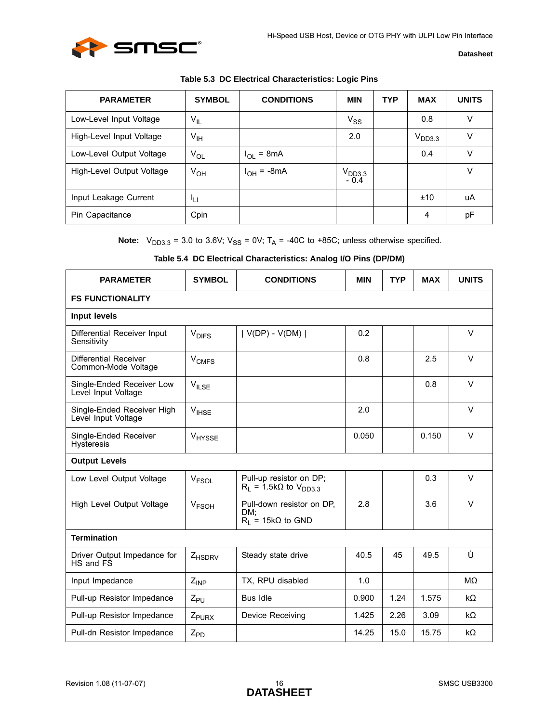

<span id="page-15-0"></span>

| <b>PARAMETER</b>          | <b>SYMBOL</b>   | <b>CONDITIONS</b> | <b>MIN</b>                   | <b>TYP</b> | <b>MAX</b>         | <b>UNITS</b> |
|---------------------------|-----------------|-------------------|------------------------------|------------|--------------------|--------------|
| Low-Level Input Voltage   | $V_{IL}$        |                   | $V_{SS}$                     |            | 0.8                | v            |
| High-Level Input Voltage  | $V_{\text{IH}}$ |                   | 2.0                          |            | V <sub>DD3.3</sub> | v            |
| Low-Level Output Voltage  | $V_{OL}$        | $I_{OL}$ = 8mA    |                              |            | 0.4                | ٧            |
| High-Level Output Voltage | $V_{OH}$        | $I_{OH}$ = -8mA   | V <sub>DD3.3</sub><br>$-0.4$ |            |                    | v            |
| Input Leakage Current     | łц              |                   |                              |            | ±10                | uA           |
| Pin Capacitance           | Cpin            |                   |                              |            | 4                  | pF           |

**Note:**  $V_{DD3.3}$  = 3.0 to 3.6V;  $V_{SS}$  = 0V;  $T_A$  = -40C to +85C; unless otherwise specified.

<span id="page-15-1"></span>

| <b>PARAMETER</b>                                  | <b>SYMBOL</b>           | <b>CONDITIONS</b>                                            | <b>MIN</b> | <b>TYP</b> | <b>MAX</b> | <b>UNITS</b> |  |  |
|---------------------------------------------------|-------------------------|--------------------------------------------------------------|------------|------------|------------|--------------|--|--|
| <b>FS FUNCTIONALITY</b>                           |                         |                                                              |            |            |            |              |  |  |
| <b>Input levels</b>                               |                         |                                                              |            |            |            |              |  |  |
| Differential Receiver Input<br>Sensitivity        | <b>V<sub>DIFS</sub></b> | $ V(DP) - V(DM) $                                            | 0.2        |            |            | $\vee$       |  |  |
| Differential Receiver<br>Common-Mode Voltage      | <b>V<sub>CMFS</sub></b> |                                                              | 0.8        |            | 2.5        | $\vee$       |  |  |
| Single-Ended Receiver Low<br>Level Input Voltage  | $V_{ILSE}$              |                                                              |            |            | 0.8        | $\vee$       |  |  |
| Single-Ended Receiver High<br>Level Input Voltage | $V_{IHSE}$              |                                                              | 2.0        |            |            | $\vee$       |  |  |
| Single-Ended Receiver<br><b>Hysteresis</b>        | V <sub>HYSSE</sub>      |                                                              | 0.050      |            | 0.150      | $\vee$       |  |  |
| <b>Output Levels</b>                              |                         |                                                              |            |            |            |              |  |  |
| Low Level Output Voltage                          | V <sub>FSOL</sub>       | Pull-up resistor on DP;<br>$R_1 = 1.5k\Omega$ to $V_{DD3.3}$ |            |            | 0.3        | V            |  |  |
| High Level Output Voltage                         | <b>V<sub>FSOH</sub></b> | Pull-down resistor on DP,<br>DM:<br>$R_1 = 15k\Omega$ to GND | 2.8        |            | 3.6        | $\vee$       |  |  |
| <b>Termination</b>                                |                         |                                                              |            |            |            |              |  |  |
| Driver Output Impedance for<br>HS and FS          | Z <sub>HSDRV</sub>      | Steady state drive                                           | 40.5       | 45         | 49.5       | Ù            |  |  |
| Input Impedance                                   | $Z_{INP}$               | TX, RPU disabled                                             | 1.0        |            |            | MΩ           |  |  |
| Pull-up Resistor Impedance                        | $Z_{PU}$                | <b>Bus Idle</b>                                              | 0.900      | 1.24       | 1.575      | $k\Omega$    |  |  |
| Pull-up Resistor Impedance                        | Z <sub>PURX</sub>       | Device Receiving                                             | 1.425      | 2.26       | 3.09       | $k\Omega$    |  |  |
| Pull-dn Resistor Impedance                        | $Z_{PD}$                |                                                              | 14.25      | 15.0       | 15.75      | $k\Omega$    |  |  |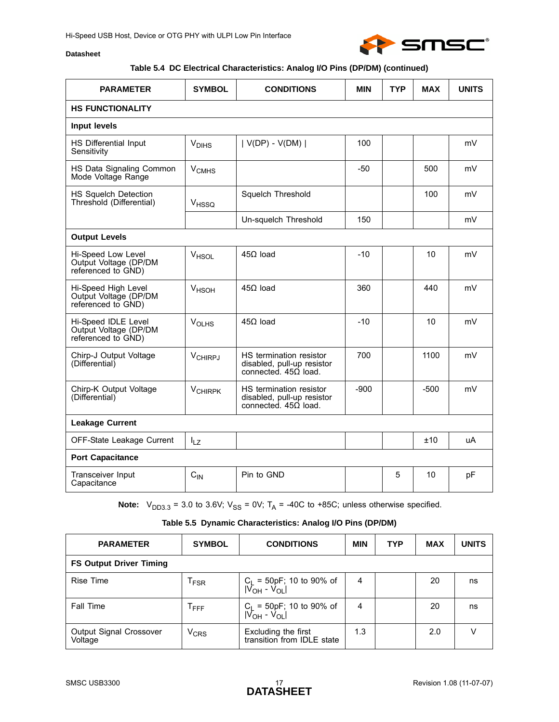

## **Table 5.4 DC Electrical Characteristics: Analog I/O Pins (DP/DM) (continued)**

| <b>PARAMETER</b>                                                   | <b>SYMBOL</b>             | <b>CONDITIONS</b>                                                                    | <b>MIN</b> | <b>TYP</b> | <b>MAX</b> | <b>UNITS</b> |  |  |
|--------------------------------------------------------------------|---------------------------|--------------------------------------------------------------------------------------|------------|------------|------------|--------------|--|--|
| <b>HS FUNCTIONALITY</b>                                            |                           |                                                                                      |            |            |            |              |  |  |
| <b>Input levels</b>                                                |                           |                                                                                      |            |            |            |              |  |  |
| <b>HS Differential Input</b><br>Sensitivity                        | V <sub>DIHS</sub>         | $ V(DP) - V(DM) $                                                                    | 100        |            |            | mV           |  |  |
| HS Data Signaling Common<br>Mode Voltage Range                     | V <sub>CMHS</sub>         |                                                                                      | $-50$      |            | 500        | mV           |  |  |
| HS Squelch Detection<br>Threshold (Differential)                   | VHSSQ                     | Squelch Threshold                                                                    |            |            | 100        | mV           |  |  |
|                                                                    |                           | Un-squelch Threshold                                                                 | 150        |            |            | mV           |  |  |
| <b>Output Levels</b>                                               |                           |                                                                                      |            |            |            |              |  |  |
| Hi-Speed Low Level<br>Output Voltage (DP/DM<br>referenced to GND)  | V <sub>HSOL</sub>         | $45\Omega$ load                                                                      | $-10$      |            | 10         | mV           |  |  |
| Hi-Speed High Level<br>Output Voltage (DP/DM<br>referenced to GND) | V <sub>HSOH</sub>         | $45 load$                                                                            | 360        |            | 440        | mV           |  |  |
| Hi-Speed IDLE Level<br>Output Voltage (DP/DM<br>referenced to GND) | <b>V<sub>OLHS</sub></b>   | $45\Omega$ load                                                                      | $-10$      |            | 10         | mV           |  |  |
| Chirp-J Output Voltage<br>(Differential)                           | V <sub>CHIRPJ</sub>       | HS termination resistor<br>disabled, pull-up resistor<br>connected. $45\Omega$ load. | 700        |            | 1100       | mV           |  |  |
| Chirp-K Output Voltage<br>(Differential)                           | <b>V<sub>CHIRPK</sub></b> | HS termination resistor<br>disabled, pull-up resistor<br>connected. $45\Omega$ load. | $-900$     |            | $-500$     | mV           |  |  |
| <b>Leakage Current</b>                                             |                           |                                                                                      |            |            |            |              |  |  |
| OFF-State Leakage Current                                          | $I_{LZ}$                  |                                                                                      |            |            | ±10        | uA           |  |  |
| <b>Port Capacitance</b>                                            |                           |                                                                                      |            |            |            |              |  |  |
| Transceiver Input<br>Capacitance                                   | $C_{IN}$                  | Pin to GND                                                                           |            | 5          | 10         | pF           |  |  |

**Note:**  $V_{DD3.3} = 3.0$  to 3.6V;  $V_{SS} = 0V$ ;  $T_A = -40C$  to +85C; unless otherwise specified.

### **Table 5.5 Dynamic Characteristics: Analog I/O Pins (DP/DM)**

<span id="page-16-0"></span>

| <b>PARAMETER</b>                   | <b>SYMBOL</b>    | <b>CONDITIONS</b>                                                | <b>MIN</b> | <b>TYP</b> | <b>MAX</b> | <b>UNITS</b> |  |  |
|------------------------------------|------------------|------------------------------------------------------------------|------------|------------|------------|--------------|--|--|
| <b>FS Output Driver Timing</b>     |                  |                                                                  |            |            |            |              |  |  |
| Rise Time                          | <sup>1</sup> FSR | $C_L$ = 50pF; 10 to 90% of $ V_{OH} - V_{OL} $                   | 4          |            | 20         | ns           |  |  |
| Fall Time                          | $I$ FFF          | $C_L$ = 50pF; 10 to 90% of<br> V <sub>OH</sub> - V <sub>OL</sub> | 4          |            | 20         | ns           |  |  |
| Output Signal Crossover<br>Voltage | $\rm v_{CRS}$    | Excluding the first<br>transition from IDLE state                | 1.3        |            | 2.0        |              |  |  |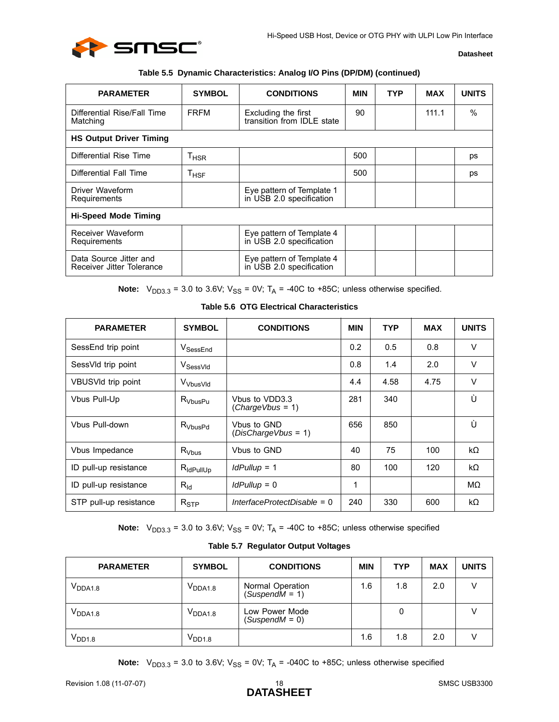

#### **Table 5.5 Dynamic Characteristics: Analog I/O Pins (DP/DM) (continued)**

| <b>PARAMETER</b>                                    | <b>SYMBOL</b>               | <b>CONDITIONS</b>                                     | <b>MIN</b> | <b>TYP</b> | MAX   | <b>UNITS</b>  |  |
|-----------------------------------------------------|-----------------------------|-------------------------------------------------------|------------|------------|-------|---------------|--|
| Differential Rise/Fall Time<br>Matching             | <b>FRFM</b>                 | Excluding the first<br>transition from IDLE state     | 90         |            | 111.1 | $\frac{0}{0}$ |  |
| <b>HS Output Driver Timing</b>                      |                             |                                                       |            |            |       |               |  |
| Differential Rise Time                              | $\mathsf{T}_{\mathsf{HSR}}$ |                                                       | 500        |            |       | ps            |  |
| Differential Fall Time                              | $T_{HSF}$                   |                                                       | 500        |            |       | ps            |  |
| Driver Waveform<br>Requirements                     |                             | Eye pattern of Template 1<br>in USB 2.0 specification |            |            |       |               |  |
| <b>Hi-Speed Mode Timing</b>                         |                             |                                                       |            |            |       |               |  |
| Receiver Waveform<br>Requirements                   |                             | Eye pattern of Template 4<br>in USB 2.0 specification |            |            |       |               |  |
| Data Source Jitter and<br>Receiver Jitter Tolerance |                             | Eye pattern of Template 4<br>in USB 2.0 specification |            |            |       |               |  |

**Note:**  $V_{DD3.3} = 3.0$  to 3.6V;  $V_{SS} = 0V$ ;  $T_A = -40C$  to +85C; unless otherwise specified.

<span id="page-17-2"></span>

| <b>Table 5.6 OTG Electrical Characteristics</b> |  |
|-------------------------------------------------|--|
|-------------------------------------------------|--|

<span id="page-17-0"></span>

| <b>PARAMETER</b>       | <b>SYMBOL</b>         | <b>CONDITIONS</b>                  | <b>MIN</b> | <b>TYP</b> | <b>MAX</b> | <b>UNITS</b> |
|------------------------|-----------------------|------------------------------------|------------|------------|------------|--------------|
| SessEnd trip point     | V <sub>SessEnd</sub>  |                                    | 0.2        | 0.5        | 0.8        | V            |
| SessVId trip point     | V <sub>SessVld</sub>  |                                    | 0.8        | 1.4        | 2.0        | V            |
| VBUSVId trip point     | V <sub>VbusVld</sub>  |                                    | 4.4        | 4.58       | 4.75       | $\vee$       |
| Vbus Pull-Up           | $R_{VbusPu}$          | Vbus to VDD3.3<br>(ChargeVbus = 1) | 281        | 340        |            | Ù            |
| Vbus Pull-down         | $R_{VbusPd}$          | Vbus to GND<br>(DisChargeVbus = 1) | 656        | 850        |            | Ù            |
| Vbus Impedance         | $R_{Vbus}$            | Vbus to GND                        | 40         | 75         | 100        | kΩ           |
| ID pull-up resistance  | $R_{\text{IdPullUp}}$ | $Id$ Pullup = 1                    | 80         | 100        | 120        | kΩ           |
| ID pull-up resistance  | $R_{\text{Id}}$       | $Id$ Pullup = 0                    | 1          |            |            | MΩ           |
| STP pull-up resistance | $R_{\mathsf{STP}}$    | InterfaceProtectDisable = 0        | 240        | 330        | 600        | kΩ           |

**Note:**  $V_{DD3.3}$  = 3.0 to 3.6V;  $V_{SS}$  = 0V;  $T_A$  = -40C to +85C; unless otherwise specified

#### **Table 5.7 Regulator Output Voltages**

<span id="page-17-1"></span>

| <b>PARAMETER</b> | <b>SYMBOL</b> | <b>CONDITIONS</b>                    | <b>MIN</b> | <b>TYP</b> | <b>MAX</b> | <b>UNITS</b> |
|------------------|---------------|--------------------------------------|------------|------------|------------|--------------|
| $\rm V_{DDA1.8}$ | $V_{DDA1.8}$  | Normal Operation<br>$(SuspendM = 1)$ | 1.6        | 1.8        | 2.0        | V            |
| $\rm V_{DDA1.8}$ | $V_{DDA1.8}$  | Low Power Mode<br>(SuspendM = 0)     |            | 0          |            |              |
| $\rm V_{DD1.8}$  | $V_{DD1.8}$   |                                      | 1.6        | 1.8        | 2.0        |              |

**Note:**  $V_{DD3.3} = 3.0$  to 3.6V;  $V_{SS} = 0V$ ;  $T_A = -040C$  to +85C; unless otherwise specified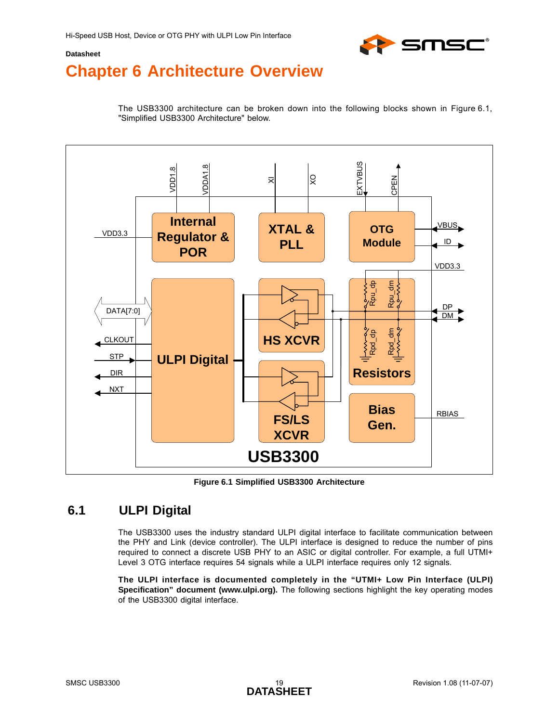

# <span id="page-18-0"></span>**Chapter 6 Architecture Overview**

<span id="page-18-3"></span>The USB3300 architecture can be broken down into the following blocks shown in [Figure 6.1,](#page-18-2) ["Simplified USB3300 Architecture"](#page-18-2) below.



**Figure 6.1 Simplified USB3300 Architecture**

## <span id="page-18-2"></span><span id="page-18-1"></span>**6.1 ULPI Digital**

The USB3300 uses the industry standard ULPI digital interface to facilitate communication between the PHY and Link (device controller). The ULPI interface is designed to reduce the number of pins required to connect a discrete USB PHY to an ASIC or digital controller. For example, a full UTMI+ Level 3 OTG interface requires 54 signals while a ULPI interface requires only 12 signals.

**The ULPI interface is documented completely in the "UTMI+ Low Pin Interface (ULPI) Specification" document (www.ulpi.org).** The following sections highlight the key operating modes of the USB3300 digital interface.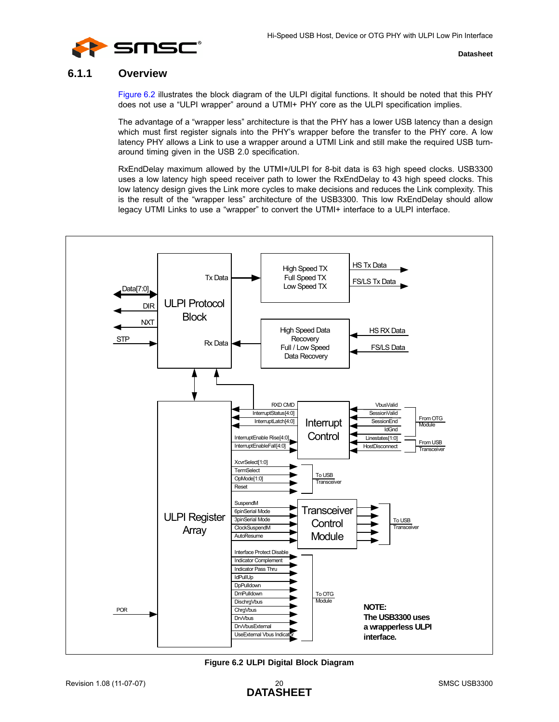

## <span id="page-19-0"></span>**6.1.1 Overview**

[Figure 6.2](#page-19-1) illustrates the block diagram of the ULPI digital functions. It should be noted that this PHY does not use a "ULPI wrapper" around a UTMI+ PHY core as the ULPI specification implies.

The advantage of a "wrapper less" architecture is that the PHY has a lower USB latency than a design which must first register signals into the PHY's wrapper before the transfer to the PHY core. A low latency PHY allows a Link to use a wrapper around a UTMI Link and still make the required USB turnaround timing given in the USB 2.0 specification.

RxEndDelay maximum allowed by the UTMI+/ULPI for 8-bit data is 63 high speed clocks. USB3300 uses a low latency high speed receiver path to lower the RxEndDelay to 43 high speed clocks. This low latency design gives the Link more cycles to make decisions and reduces the Link complexity. This is the result of the "wrapper less" architecture of the USB3300. This low RxEndDelay should allow legacy UTMI Links to use a "wrapper" to convert the UTMI+ interface to a ULPI interface.



<span id="page-19-1"></span>**Figure 6.2 ULPI Digital Block Diagram**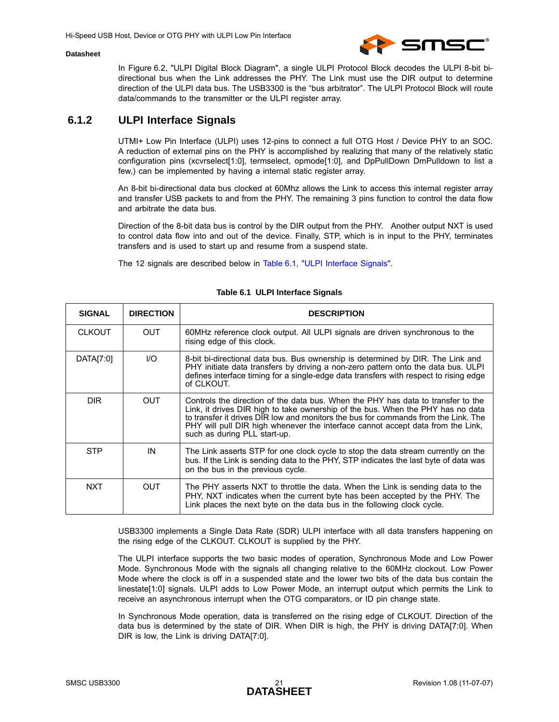

In [Figure 6.2, "ULPI Digital Block Diagram",](#page-19-1) a single ULPI Protocol Block decodes the ULPI 8-bit bidirectional bus when the Link addresses the PHY. The Link must use the DIR output to determine direction of the ULPI data bus. The USB3300 is the "bus arbitrator". The ULPI Protocol Block will route data/commands to the transmitter or the ULPI register array.

## <span id="page-20-0"></span>**6.1.2 ULPI Interface Signals**

UTMI+ Low Pin Interface (ULPI) uses 12-pins to connect a full OTG Host / Device PHY to an SOC. A reduction of external pins on the PHY is accomplished by realizing that many of the relatively static configuration pins (xcvrselect[1:0], termselect, opmode[1:0], and DpPullDown DmPulldown to list a few,) can be implemented by having a internal static register array.

An 8-bit bi-directional data bus clocked at 60Mhz allows the Link to access this internal register array and transfer USB packets to and from the PHY. The remaining 3 pins function to control the data flow and arbitrate the data bus.

Direction of the 8-bit data bus is control by the DIR output from the PHY. Another output NXT is used to control data flow into and out of the device. Finally, STP, which is in input to the PHY, terminates transfers and is used to start up and resume from a suspend state.

The 12 signals are described below in [Table 6.1, "ULPI Interface Signals".](#page-20-1)

<span id="page-20-1"></span>

| <b>SIGNAL</b> | <b>DIRECTION</b> | <b>DESCRIPTION</b>                                                                                                                                                                                                                                                                                                                                                           |
|---------------|------------------|------------------------------------------------------------------------------------------------------------------------------------------------------------------------------------------------------------------------------------------------------------------------------------------------------------------------------------------------------------------------------|
| <b>CLKOUT</b> | <b>OUT</b>       | 60MHz reference clock output. All ULPI signals are driven synchronous to the<br>rising edge of this clock.                                                                                                                                                                                                                                                                   |
| DATA[7:0]     | 1/O              | 8-bit bi-directional data bus. Bus ownership is determined by DIR. The Link and<br>PHY initiate data transfers by driving a non-zero pattern onto the data bus. ULPI<br>defines interface timing for a single-edge data transfers with respect to rising edge<br>of CLKOUT.                                                                                                  |
| DIR.          | <b>OUT</b>       | Controls the direction of the data bus. When the PHY has data to transfer to the<br>Link, it drives DIR high to take ownership of the bus. When the PHY has no data<br>to transfer it drives DIR low and monitors the bus for commands from the Link. The<br>PHY will pull DIR high whenever the interface cannot accept data from the Link.<br>such as during PLL start-up. |
| <b>STP</b>    | IN               | The Link asserts STP for one clock cycle to stop the data stream currently on the<br>bus. If the Link is sending data to the PHY, STP indicates the last byte of data was<br>on the bus in the previous cycle.                                                                                                                                                               |
| <b>NXT</b>    | <b>OUT</b>       | The PHY asserts NXT to throttle the data. When the Link is sending data to the<br>PHY, NXT indicates when the current byte has been accepted by the PHY. The<br>Link places the next byte on the data bus in the following clock cycle.                                                                                                                                      |

#### **Table 6.1 ULPI Interface Signals**

USB3300 implements a Single Data Rate (SDR) ULPI interface with all data transfers happening on the rising edge of the CLKOUT. CLKOUT is supplied by the PHY.

The ULPI interface supports the two basic modes of operation, Synchronous Mode and Low Power Mode. Synchronous Mode with the signals all changing relative to the 60MHz clockout. Low Power Mode where the clock is off in a suspended state and the lower two bits of the data bus contain the linestate[1:0] signals. ULPI adds to Low Power Mode, an interrupt output which permits the Link to receive an asynchronous interrupt when the OTG comparators, or ID pin change state.

In Synchronous Mode operation, data is transferred on the rising edge of CLKOUT. Direction of the data bus is determined by the state of DIR. When DIR is high, the PHY is driving DATA[7:0]. When DIR is low, the Link is driving DATA[7:0].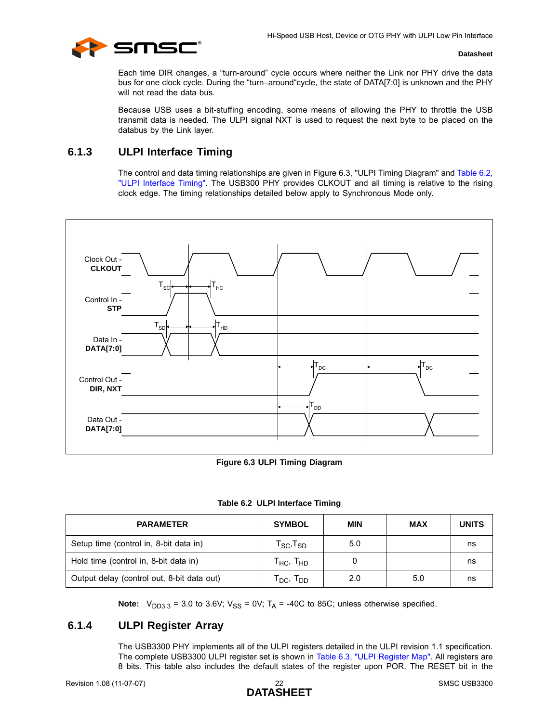

Each time DIR changes, a "turn-around" cycle occurs where neither the Link nor PHY drive the data bus for one clock cycle. During the "turn–around"cycle, the state of DATA[7:0] is unknown and the PHY will not read the data bus.

Because USB uses a bit-stuffing encoding, some means of allowing the PHY to throttle the USB transmit data is needed. The ULPI signal NXT is used to request the next byte to be placed on the databus by the Link layer.

## <span id="page-21-0"></span>**6.1.3 ULPI Interface Timing**

The control and data timing relationships are given in [Figure 6.3, "ULPI Timing Diagram"](#page-21-2) and [Table 6.2,](#page-21-3) ["ULPI Interface Timing"](#page-21-3). The USB300 PHY provides CLKOUT and all timing is relative to the rising clock edge. The timing relationships detailed below apply to Synchronous Mode only.



**Figure 6.3 ULPI Timing Diagram**

|  | Table 6.2 ULPI Interface Timing |  |
|--|---------------------------------|--|
|  |                                 |  |

<span id="page-21-3"></span><span id="page-21-2"></span>

| <b>PARAMETER</b>                           | <b>SYMBOL</b>                                       | MIN | <b>MAX</b> | <b>UNITS</b> |
|--------------------------------------------|-----------------------------------------------------|-----|------------|--------------|
| Setup time (control in, 8-bit data in)     | $\mathsf{T}_{\text{SC}}$ , $\mathsf{T}_{\text{SD}}$ | 5.0 |            | ns           |
| Hold time (control in, 8-bit data in)      | т <sub>нс</sub> , т <sub>но</sub>                   |     |            | ns           |
| Output delay (control out, 8-bit data out) | T <sub>DC</sub> , T <sub>DD</sub>                   | 2.0 | 5.0        | ns           |

**Note:**  $V_{DD3.3} = 3.0$  to 3.6V;  $V_{SS} = 0V$ ;  $T_A = -40C$  to 85C; unless otherwise specified.

## <span id="page-21-1"></span>**6.1.4 ULPI Register Array**

The USB3300 PHY implements all of the ULPI registers detailed in the ULPI revision 1.1 specification. The complete USB3300 ULPI register set is shown in [Table 6.3, "ULPI Register Map".](#page-22-0) All registers are 8 bits. This table also includes the default states of the register upon POR. The RESET bit in the

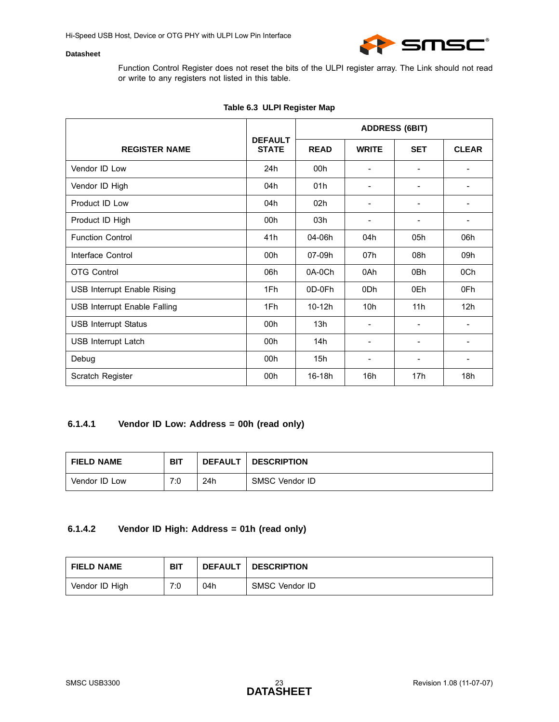

Function Control Register does not reset the bits of the ULPI register array. The Link should not read or write to any registers not listed in this table.

<span id="page-22-0"></span>

|                                    |                                | <b>ADDRESS (6BIT)</b> |                          |                          |                          |
|------------------------------------|--------------------------------|-----------------------|--------------------------|--------------------------|--------------------------|
| <b>REGISTER NAME</b>               | <b>DEFAULT</b><br><b>STATE</b> | <b>READ</b>           | <b>WRITE</b>             | <b>SET</b>               | <b>CLEAR</b>             |
| Vendor ID Low                      | 24h                            | 00h                   | ۰                        |                          | ۰                        |
| Vendor ID High                     | 04h                            | 01h                   | ۰                        |                          |                          |
| Product ID Low                     | 04h                            | 02 <sub>h</sub>       | $\overline{\phantom{a}}$ | $\overline{\phantom{0}}$ | ۰                        |
| Product ID High                    | 00h                            | 03h                   |                          |                          |                          |
| <b>Function Control</b>            | 41h                            | 04-06h                | 04h                      | 05h                      | 06h                      |
| Interface Control                  | 00h                            | 07-09h                | 07h                      | 08h                      | 09h                      |
| <b>OTG Control</b>                 | 06h                            | 0A-0Ch                | 0Ah                      | 0 <sub>Bh</sub>          | 0Ch                      |
| <b>USB Interrupt Enable Rising</b> | 1Fh                            | 0D-0Fh                | 0 <sub>Dh</sub>          | 0Eh                      | 0Fh                      |
| USB Interrupt Enable Falling       | 1Fh                            | 10-12h                | 10h                      | 11h                      | 12h                      |
| <b>USB Interrupt Status</b>        | 00 <sub>h</sub>                | 13h                   | $\overline{\phantom{a}}$ |                          | $\overline{\phantom{a}}$ |
| <b>USB Interrupt Latch</b>         | 00 <sub>h</sub>                | 14h                   | ۰                        |                          | ۰                        |
| Debug                              | 00h                            | 15h                   | $\overline{\phantom{a}}$ | ۰                        |                          |
| Scratch Register                   | 00h                            | 16-18h                | 16h                      | 17 <sub>h</sub>          | 18h                      |

### **Table 6.3 ULPI Register Map**

## **6.1.4.1 Vendor ID Low: Address = 00h (read only)**

| <b>FIELD NAME</b> | <b>BIT</b> | <b>DEFAULT</b> | <b>DESCRIPTION</b> |
|-------------------|------------|----------------|--------------------|
| Vendor ID Low     | 7:0        | 24h            | SMSC Vendor ID     |

## **6.1.4.2 Vendor ID High: Address = 01h (read only)**

| <b>FIELD NAME</b> | <b>BIT</b> | <b>DEFAULT</b> | <b>DESCRIPTION</b> |
|-------------------|------------|----------------|--------------------|
| Vendor ID High    | 7:0        | 04h            | SMSC Vendor ID     |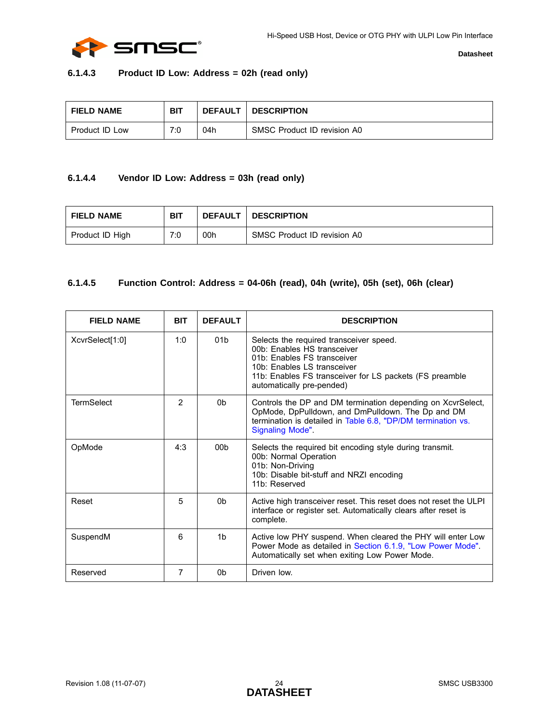

### **6.1.4.3 Product ID Low: Address = 02h (read only)**

| <b>FIELD NAME</b> | <b>BIT</b> | <b>DEFAULT</b> | <b>DESCRIPTION</b>          |
|-------------------|------------|----------------|-----------------------------|
| Product ID Low    | 7:0        | 04h            | SMSC Product ID revision A0 |

## **6.1.4.4 Vendor ID Low: Address = 03h (read only)**

| <b>FIELD NAME</b> | <b>BIT</b> |     | <b>DEFAULT   DESCRIPTION</b> |
|-------------------|------------|-----|------------------------------|
| Product ID High   | 7:0        | 00h | SMSC Product ID revision A0  |

## **6.1.4.5 Function Control: Address = 04-06h (read), 04h (write), 05h (set), 06h (clear)**

| <b>FIELD NAME</b> | <b>BIT</b> | <b>DEFAULT</b>  | <b>DESCRIPTION</b>                                                                                                                                                                                                           |
|-------------------|------------|-----------------|------------------------------------------------------------------------------------------------------------------------------------------------------------------------------------------------------------------------------|
| XcvrSelect[1:0]   | 1:0        | 01 <sub>b</sub> | Selects the required transceiver speed.<br>00b: Enables HS transceiver<br>01b: Enables FS transceiver<br>10b: Enables LS transceiver<br>11b: Enables FS transceiver for LS packets (FS preamble<br>automatically pre-pended) |
| <b>TermSelect</b> | 2          | 0 <sub>b</sub>  | Controls the DP and DM termination depending on XcvrSelect,<br>OpMode, DpPulldown, and DmPulldown. The Dp and DM<br>termination is detailed in Table 6.8, "DP/DM termination vs.<br>Signaling Mode".                         |
| OpMode            | 4:3        | 00 <sub>b</sub> | Selects the required bit encoding style during transmit.<br>00b: Normal Operation<br>01b: Non-Driving<br>10b: Disable bit-stuff and NRZI encoding<br>11b: Reserved                                                           |
| Reset             | 5          | 0 <sub>b</sub>  | Active high transceiver reset. This reset does not reset the ULPI<br>interface or register set. Automatically clears after reset is<br>complete.                                                                             |
| SuspendM          | 6          | 1 <sub>b</sub>  | Active low PHY suspend. When cleared the PHY will enter Low<br>Power Mode as detailed in Section 6.1.9, "Low Power Mode".<br>Automatically set when exiting Low Power Mode.                                                  |
| Reserved          | 7          | 0 <sub>b</sub>  | Driven low.                                                                                                                                                                                                                  |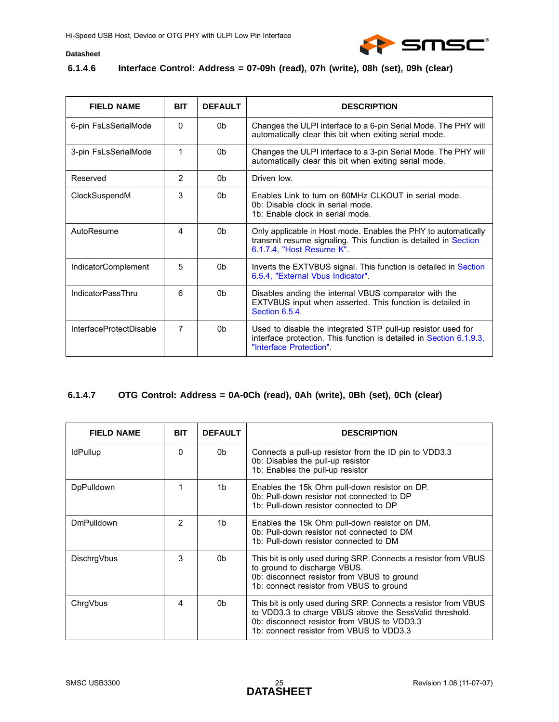

### **6.1.4.6 Interface Control: Address = 07-09h (read), 07h (write), 08h (set), 09h (clear)**

| <b>FIELD NAME</b>          | <b>BIT</b>     | <b>DEFAULT</b> | <b>DESCRIPTION</b>                                                                                                                                             |
|----------------------------|----------------|----------------|----------------------------------------------------------------------------------------------------------------------------------------------------------------|
| 6-pin FsLsSerialMode       | $\Omega$       | 0b             | Changes the ULPI interface to a 6-pin Serial Mode. The PHY will<br>automatically clear this bit when exiting serial mode.                                      |
| 3-pin FsLsSerialMode       | 1              | 0b             | Changes the ULPI interface to a 3-pin Serial Mode. The PHY will<br>automatically clear this bit when exiting serial mode.                                      |
| Reserved                   | $\overline{2}$ | 0 <sub>b</sub> | Driven low                                                                                                                                                     |
| ClockSuspendM              | 3              | 0 <sub>b</sub> | Enables Link to turn on 60MHz CLKOUT in serial mode.<br>0b: Disable clock in serial mode.<br>1b: Enable clock in serial mode.                                  |
| AutoResume                 | 4              | 0 <sub>b</sub> | Only applicable in Host mode. Enables the PHY to automatically<br>transmit resume signaling. This function is detailed in Section<br>6.1.7.4, "Host Resume K". |
| <b>IndicatorComplement</b> | 5              | 0b             | Inverts the EXTVBUS signal. This function is detailed in Section<br>6.5.4, "External Vbus Indicator"                                                           |
| <b>IndicatorPassThru</b>   | 6              | 0b             | Disables anding the internal VBUS comparator with the<br>EXTVBUS input when asserted. This function is detailed in<br>Section 6.5.4                            |
| InterfaceProtectDisable    | 7              | 0 <sub>b</sub> | Used to disable the integrated STP pull-up resistor used for<br>interface protection. This function is detailed in Section 6.1.9.3,<br>"Interface Protection". |

## **6.1.4.7 OTG Control: Address = 0A-0Ch (read), 0Ah (write), 0Bh (set), 0Ch (clear)**

| <b>FIELD NAME</b> | <b>BIT</b> | <b>DEFAULT</b> | <b>DESCRIPTION</b>                                                                                                                                                                                                    |
|-------------------|------------|----------------|-----------------------------------------------------------------------------------------------------------------------------------------------------------------------------------------------------------------------|
| <b>IdPullup</b>   | 0          | 0b             | Connects a pull-up resistor from the ID pin to VDD3.3<br>Ob: Disables the pull-up resistor<br>1b: Enables the pull-up resistor                                                                                        |
| <b>DpPulldown</b> | 1          | 1b             | Enables the 15k Ohm pull-down resistor on DP.<br>Ob: Pull-down resistor not connected to DP<br>1b: Pull-down resistor connected to DP                                                                                 |
| <b>DmPulldown</b> | 2          | 1b             | Enables the 15k Ohm pull-down resistor on DM.<br>0b: Pull-down resistor not connected to DM<br>1b: Pull-down resistor connected to DM                                                                                 |
| DischrqVbus       | 3          | 0b             | This bit is only used during SRP. Connects a resistor from VBUS<br>to ground to discharge VBUS.<br>0b: disconnect resistor from VBUS to ground<br>1b: connect resistor from VBUS to ground                            |
| ChrqVbus          | 4          | 0b             | This bit is only used during SRP. Connects a resistor from VBUS<br>to VDD3.3 to charge VBUS above the SessValid threshold.<br>Ob: disconnect resistor from VBUS to VDD3.3<br>1b: connect resistor from VBUS to VDD3.3 |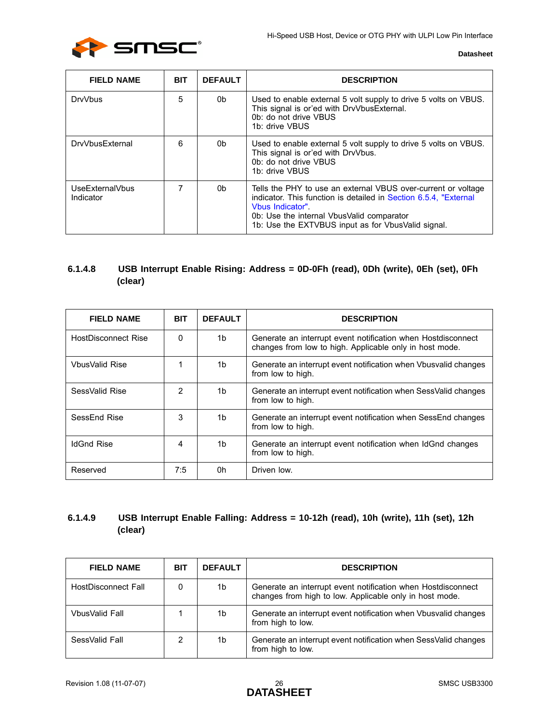

| <b>FIELD NAME</b>            | <b>BIT</b> | <b>DEFAULT</b> | <b>DESCRIPTION</b>                                                                                                                                                                                                                                      |
|------------------------------|------------|----------------|---------------------------------------------------------------------------------------------------------------------------------------------------------------------------------------------------------------------------------------------------------|
| <b>DrvVbus</b>               | 5          | 0b             | Used to enable external 5 volt supply to drive 5 volts on VBUS.<br>This signal is or'ed with DrvVbusExternal.<br>0b: do not drive VBUS<br>1b: drive VBUS                                                                                                |
| DrvVbusExternal              | 6          | 0b             | Used to enable external 5 volt supply to drive 5 volts on VBUS.<br>This signal is or'ed with DrvVbus.<br>0b: do not drive VBUS<br>1b: drive VBUS                                                                                                        |
| UseExternalVbus<br>Indicator | 7          | 0b             | Tells the PHY to use an external VBUS over-current or voltage<br>indicator. This function is detailed in Section 6.5.4, "External<br>Vbus Indicator"<br>0b: Use the internal VbusValid comparator<br>1b: Use the EXTVBUS input as for VbusValid signal. |

## **6.1.4.8 USB Interrupt Enable Rising: Address = 0D-0Fh (read), 0Dh (write), 0Eh (set), 0Fh (clear)**

| <b>FIELD NAME</b>     | <b>BIT</b> | <b>DEFAULT</b> | <b>DESCRIPTION</b>                                                                                                      |  |  |
|-----------------------|------------|----------------|-------------------------------------------------------------------------------------------------------------------------|--|--|
| HostDisconnect Rise   | 0          | 1b             | Generate an interrupt event notification when Hostdisconnect<br>changes from low to high. Applicable only in host mode. |  |  |
| <b>VbusValid Rise</b> |            | 1b             | Generate an interrupt event notification when Vbusvalid changes<br>from low to high.                                    |  |  |
| SessValid Rise        | 2          | 1b             | Generate an interrupt event notification when SessValid changes<br>from low to high.                                    |  |  |
| SessEnd Rise          | 3          | 1b             | Generate an interrupt event notification when SessEnd changes<br>from low to high.                                      |  |  |
| <b>IdGnd Rise</b>     | 4          | 1b             | Generate an interrupt event notification when IdGnd changes<br>from low to high.                                        |  |  |
| Reserved              | 7:5        | 0h             | Driven low.                                                                                                             |  |  |

## **6.1.4.9 USB Interrupt Enable Falling: Address = 10-12h (read), 10h (write), 11h (set), 12h (clear)**

| <b>FIELD NAME</b>   | <b>BIT</b> | <b>DEFAULT</b>                                                                                                                | <b>DESCRIPTION</b>                                                                   |  |
|---------------------|------------|-------------------------------------------------------------------------------------------------------------------------------|--------------------------------------------------------------------------------------|--|
| HostDisconnect Fall | 0          | Generate an interrupt event notification when Hostdisconnect<br>1b<br>changes from high to low. Applicable only in host mode. |                                                                                      |  |
| VbusValid Fall      |            | 1b                                                                                                                            | Generate an interrupt event notification when Vbusvalid changes<br>from high to low. |  |
| SessValid Fall      | 2          | 1b                                                                                                                            | Generate an interrupt event notification when SessValid changes<br>from high to low. |  |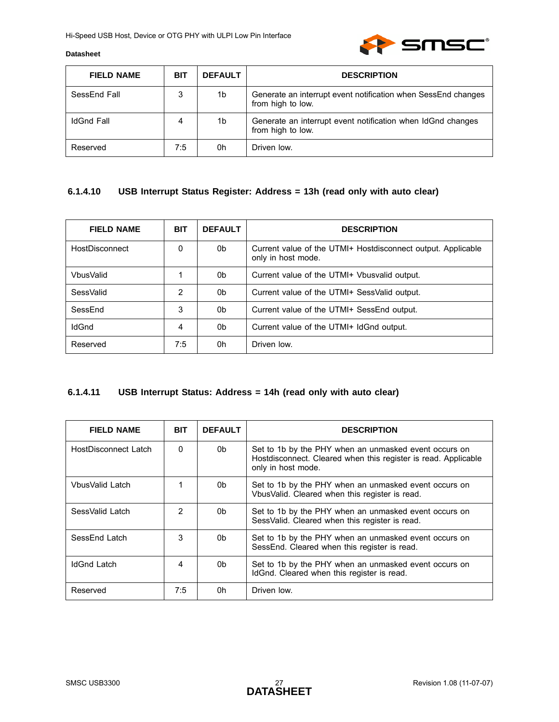

| <b>FIELD NAME</b> | <b>BIT</b> | <b>DEFAULT</b> | <b>DESCRIPTION</b>                                                                 |
|-------------------|------------|----------------|------------------------------------------------------------------------------------|
| SessEnd Fall      | 3          | 1b             | Generate an interrupt event notification when SessEnd changes<br>from high to low. |
| <b>IdGnd Fall</b> | 4          | 1b             | Generate an interrupt event notification when IdGnd changes<br>from high to low.   |
| Reserved          | 7:5        | 0h             | Driven low.                                                                        |

## **6.1.4.10 USB Interrupt Status Register: Address = 13h (read only with auto clear)**

| <b>FIELD NAME</b> | <b>BIT</b> | <b>DEFAULT</b> | <b>DESCRIPTION</b>                                                                 |  |  |
|-------------------|------------|----------------|------------------------------------------------------------------------------------|--|--|
| HostDisconnect    | 0          | 0b             | Current value of the UTMI+ Hostdisconnect output. Applicable<br>only in host mode. |  |  |
| VbusValid         |            | 0b             | Current value of the UTMI+ Vbusvalid output.                                       |  |  |
| SessValid         | 2          | 0b             | Current value of the UTMI+ SessValid output.                                       |  |  |
| SessEnd           | 3          | 0b             | Current value of the UTMI+ SessEnd output.                                         |  |  |
| <b>IdGnd</b>      | 4          | 0b             | Current value of the UTMI+ IdGnd output.                                           |  |  |
| Reserved          | 7:5        | 0h             | Driven low.                                                                        |  |  |

## **6.1.4.11 USB Interrupt Status: Address = 14h (read only with auto clear)**

| <b>FIELD NAME</b>    | <b>BIT</b> | <b>DEFAULT</b> | <b>DESCRIPTION</b>                                                                                                                            |  |  |
|----------------------|------------|----------------|-----------------------------------------------------------------------------------------------------------------------------------------------|--|--|
| HostDisconnect Latch | 0          | 0b.            | Set to 1b by the PHY when an unmasked event occurs on<br>Hostdisconnect. Cleared when this register is read. Applicable<br>only in host mode. |  |  |
| VbusValid Latch      |            | 0b             | Set to 1b by the PHY when an unmasked event occurs on<br>Vbus Valid. Cleared when this register is read.                                      |  |  |
| SessValid Latch      | 2          | 0b             | Set to 1b by the PHY when an unmasked event occurs on<br>SessValid. Cleared when this register is read.                                       |  |  |
| SessEnd Latch        | 3          | 0b             | Set to 1b by the PHY when an unmasked event occurs on<br>SessEnd. Cleared when this register is read.                                         |  |  |
| <b>IdGnd Latch</b>   | 4          | 0b             | Set to 1b by the PHY when an unmasked event occurs on<br>IdGnd. Cleared when this register is read.                                           |  |  |
| Reserved             | 7:5        | 0h             | Driven low.                                                                                                                                   |  |  |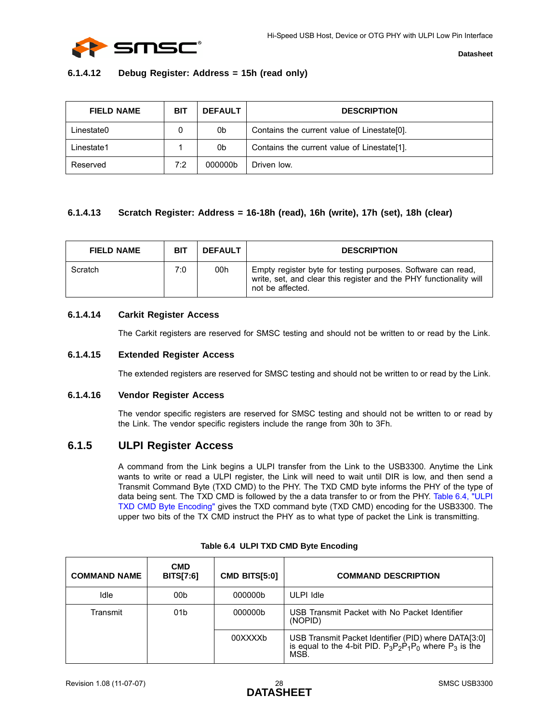

#### **6.1.4.12 Debug Register: Address = 15h (read only)**

| <b>FIELD NAME</b> | <b>BIT</b> | <b>DEFAULT</b>                                    | <b>DESCRIPTION</b>                          |  |
|-------------------|------------|---------------------------------------------------|---------------------------------------------|--|
| Linestate0        |            | Contains the current value of Linestate[0].<br>0b |                                             |  |
| Linestate1        |            | 0b                                                | Contains the current value of Linestate[1]. |  |
| Reserved          | 7:2        | 000000b                                           | Driven low.                                 |  |

### **6.1.4.13 Scratch Register: Address = 16-18h (read), 16h (write), 17h (set), 18h (clear)**

| <b>FIELD NAME</b> | <b>BIT</b> | <b>DEFAULT</b> | <b>DESCRIPTION</b>                                                                                                                                     |
|-------------------|------------|----------------|--------------------------------------------------------------------------------------------------------------------------------------------------------|
| Scratch           | 7:0        | 00h            | Empty register byte for testing purposes. Software can read,<br>write, set, and clear this register and the PHY functionality will<br>not be affected. |

### **6.1.4.14 Carkit Register Access**

The Carkit registers are reserved for SMSC testing and should not be written to or read by the Link.

#### **6.1.4.15 Extended Register Access**

The extended registers are reserved for SMSC testing and should not be written to or read by the Link.

#### **6.1.4.16 Vendor Register Access**

The vendor specific registers are reserved for SMSC testing and should not be written to or read by the Link. The vendor specific registers include the range from 30h to 3Fh.

### <span id="page-27-0"></span>**6.1.5 ULPI Register Access**

A command from the Link begins a ULPI transfer from the Link to the USB3300. Anytime the Link wants to write or read a ULPI register, the Link will need to wait until DIR is low, and then send a Transmit Command Byte (TXD CMD) to the PHY. The TXD CMD byte informs the PHY of the type of data being sent. The TXD CMD is followed by the a data transfer to or from the PHY. [Table 6.4, "ULPI](#page-27-1) [TXD CMD Byte Encoding"](#page-27-1) gives the TXD command byte (TXD CMD) encoding for the USB3300. The upper two bits of the TX CMD instruct the PHY as to what type of packet the Link is transmitting.

<span id="page-27-1"></span>

| <b>COMMAND NAME</b> | <b>CMD</b><br><b>BITS[7:6]</b> | <b>CMD BITS[5:0]</b> | <b>COMMAND DESCRIPTION</b>                                                                                                   |
|---------------------|--------------------------------|----------------------|------------------------------------------------------------------------------------------------------------------------------|
| Idle                | 00b                            | 000000b              | ULPI Idle                                                                                                                    |
| Transmit            | 01 <sub>b</sub>                | 000000b              | USB Transmit Packet with No Packet Identifier<br>(NOPID)                                                                     |
|                     |                                | 00XXXXb              | USB Transmit Packet Identifier (PID) where DATA[3:0]<br>is equal to the 4-bit PID. $P_3P_2P_1P_0$ where $P_3$ is the<br>MSB. |

#### **Table 6.4 ULPI TXD CMD Byte Encoding**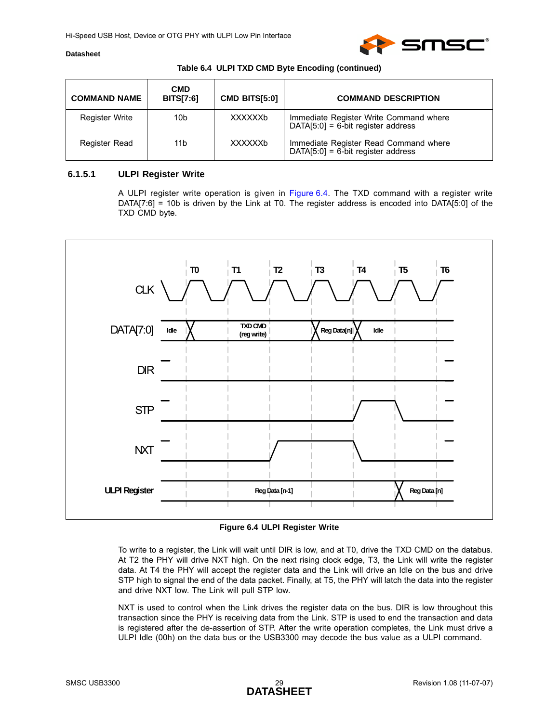

#### **Table 6.4 ULPI TXD CMD Byte Encoding (continued)**

| <b>COMMAND NAME</b> | <b>CMD</b><br><b>BITS[7:6]</b> | <b>CMD BITS[5:0]</b> | <b>COMMAND DESCRIPTION</b>                                                     |
|---------------------|--------------------------------|----------------------|--------------------------------------------------------------------------------|
| Register Write      | 10b                            | XXXXXXb              | Immediate Register Write Command where<br>$DATA[5:0] = 6-bit register address$ |
| Register Read       | 11b                            | XXXXXXb              | Immediate Register Read Command where<br>$DATA[5:0] = 6$ -bit register address |

#### **6.1.5.1 ULPI Register Write**

A ULPI register write operation is given in [Figure 6.4](#page-28-0). The TXD command with a register write DATA[7:6] = 10b is driven by the Link at T0. The register address is encoded into DATA[5:0] of the TXD CMD byte.



**Figure 6.4 ULPI Register Write**

<span id="page-28-0"></span>To write to a register, the Link will wait until DIR is low, and at T0, drive the TXD CMD on the databus. At T2 the PHY will drive NXT high. On the next rising clock edge, T3, the Link will write the register data. At T4 the PHY will accept the register data and the Link will drive an Idle on the bus and drive STP high to signal the end of the data packet. Finally, at T5, the PHY will latch the data into the register and drive NXT low. The Link will pull STP low.

NXT is used to control when the Link drives the register data on the bus. DIR is low throughout this transaction since the PHY is receiving data from the Link. STP is used to end the transaction and data is registered after the de-assertion of STP. After the write operation completes, the Link must drive a ULPI Idle (00h) on the data bus or the USB3300 may decode the bus value as a ULPI command.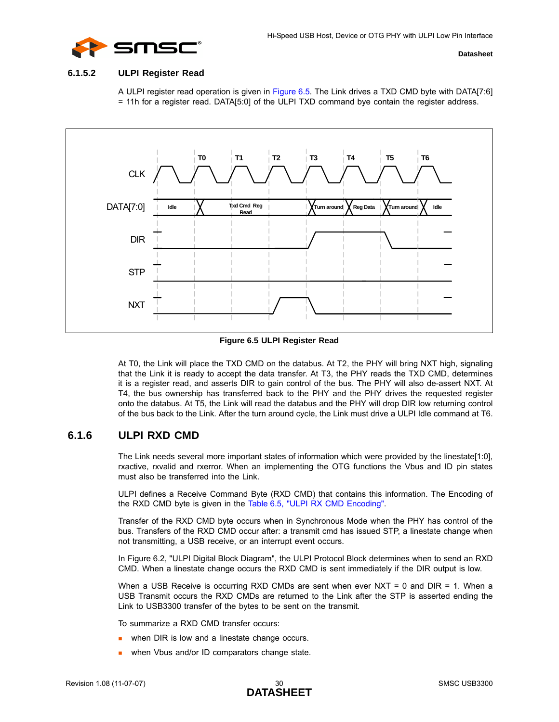

#### **6.1.5.2 ULPI Register Read**

A ULPI register read operation is given in [Figure 6.5](#page-29-1). The Link drives a TXD CMD byte with DATA[7:6] = 11h for a register read. DATA[5:0] of the ULPI TXD command bye contain the register address.



**Figure 6.5 ULPI Register Read**

<span id="page-29-1"></span>At T0, the Link will place the TXD CMD on the databus. At T2, the PHY will bring NXT high, signaling that the Link it is ready to accept the data transfer. At T3, the PHY reads the TXD CMD, determines it is a register read, and asserts DIR to gain control of the bus. The PHY will also de-assert NXT. At T4, the bus ownership has transferred back to the PHY and the PHY drives the requested register onto the databus. At T5, the Link will read the databus and the PHY will drop DIR low returning control of the bus back to the Link. After the turn around cycle, the Link must drive a ULPI Idle command at T6.

## <span id="page-29-0"></span>**6.1.6 ULPI RXD CMD**

The Link needs several more important states of information which were provided by the linestate[1:0], rxactive, rxvalid and rxerror. When an implementing the OTG functions the Vbus and ID pin states must also be transferred into the Link.

ULPI defines a Receive Command Byte (RXD CMD) that contains this information. The Encoding of the RXD CMD byte is given in the [Table 6.5, "ULPI RX CMD Encoding".](#page-30-1)

Transfer of the RXD CMD byte occurs when in Synchronous Mode when the PHY has control of the bus. Transfers of the RXD CMD occur after: a transmit cmd has issued STP, a linestate change when not transmitting, a USB receive, or an interrupt event occurs.

In [Figure 6.2, "ULPI Digital Block Diagram",](#page-19-1) the ULPI Protocol Block determines when to send an RXD CMD. When a linestate change occurs the RXD CMD is sent immediately if the DIR output is low.

When a USB Receive is occurring RXD CMDs are sent when ever NXT = 0 and  $DIR = 1$ . When a USB Transmit occurs the RXD CMDs are returned to the Link after the STP is asserted ending the Link to USB3300 transfer of the bytes to be sent on the transmit.

To summarize a RXD CMD transfer occurs:

- when DIR is low and a linestate change occurs.
- when Vbus and/or ID comparators change state.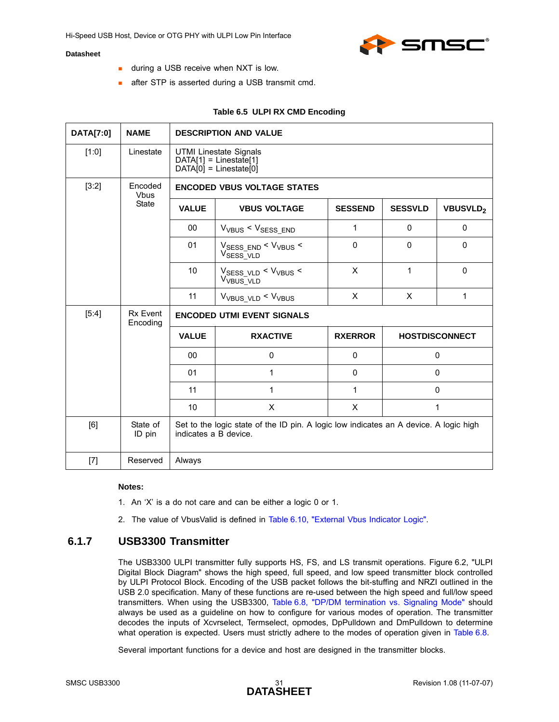

- **during a USB receive when NXT is low.**
- **after STP is asserted during a USB transmit cmd.**

#### **Table 6.5 ULPI RX CMD Encoding**

<span id="page-30-1"></span>

| DATA[7:0] | <b>NAME</b>            | <b>DESCRIPTION AND VALUE</b>                                                    |                                                                                       |                |                |                 |  |  |
|-----------|------------------------|---------------------------------------------------------------------------------|---------------------------------------------------------------------------------------|----------------|----------------|-----------------|--|--|
| [1:0]     | Linestate              | <b>UTMI Linestate Signals</b><br>$DATA[1] = Linear[1]$<br>$DATA[0] = Linear[0]$ |                                                                                       |                |                |                 |  |  |
| [3:2]     | Encoded<br><b>Vbus</b> |                                                                                 | <b>ENCODED VBUS VOLTAGE STATES</b>                                                    |                |                |                 |  |  |
|           | <b>State</b>           | <b>VALUE</b>                                                                    | <b>VBUS VOLTAGE</b>                                                                   | <b>SESSEND</b> | <b>SESSVLD</b> | <b>VBUSVLD2</b> |  |  |
|           |                        | 00                                                                              | $V_{VBUS}$ < $V_{SESS\_END}$                                                          | 1              | $\mathbf{0}$   | $\mathbf{0}$    |  |  |
|           |                        | 01                                                                              | $V_{\text{SESS\_END}}$ < $V_{\text{VBUS}}$ <<br>V <sub>SESS_VLD</sub>                 | 0              | 0              | 0               |  |  |
|           |                        | 10                                                                              | $V_{SESS_VLD}$ < $V_{VBUS}$ <<br>V <sub>VBUS_VLD</sub>                                | X              | 1              | $\mathbf{0}$    |  |  |
|           |                        | 11                                                                              | V <sub>VBUS_VLD</sub> < V <sub>VBUS</sub>                                             | X              | X              | $\mathbf{1}$    |  |  |
| [5:4]     | Rx Event<br>Encoding   |                                                                                 | <b>ENCODED UTMI EVENT SIGNALS</b>                                                     |                |                |                 |  |  |
|           |                        | <b>VALUE</b><br><b>RXACTIVE</b><br><b>RXERROR</b><br><b>HOSTDISCONNECT</b>      |                                                                                       |                |                |                 |  |  |
|           |                        | 00                                                                              | 0                                                                                     | $\mathbf{0}$   |                | 0               |  |  |
|           |                        | 01                                                                              | 1                                                                                     | $\pmb{0}$      |                | 0               |  |  |
|           |                        | 11                                                                              | 1                                                                                     | 1              |                | 0               |  |  |
|           |                        | 10                                                                              | X                                                                                     | X              |                | 1               |  |  |
| [6]       | State of<br>ID pin     | indicates a B device.                                                           | Set to the logic state of the ID pin. A logic low indicates an A device. A logic high |                |                |                 |  |  |
| $[7]$     | Reserved               | Always                                                                          |                                                                                       |                |                |                 |  |  |

#### **Notes:**

- 1. An 'X' is a do not care and can be either a logic 0 or 1.
- 2. The value of VbusValid is defined in [Table 6.10, "External Vbus Indicator Logic".](#page-43-2)

## <span id="page-30-0"></span>**6.1.7 USB3300 Transmitter**

The USB3300 ULPI transmitter fully supports HS, FS, and LS transmit operations. [Figure 6.2, "ULPI](#page-19-1) [Digital Block Diagram"](#page-19-1) shows the high speed, full speed, and low speed transmitter block controlled by ULPI Protocol Block. Encoding of the USB packet follows the bit-stuffing and NRZI outlined in the USB 2.0 specification. Many of these functions are re-used between the high speed and full/low speed transmitters. When using the USB3300, [Table 6.8, "DP/DM termination vs. Signaling Mode"](#page-38-0) should always be used as a guideline on how to configure for various modes of operation. The transmitter decodes the inputs of Xcvrselect, Termselect, opmodes, DpPulldown and DmPulldown to determine what operation is expected. Users must strictly adhere to the modes of operation given in [Table 6.8](#page-38-0).

Several important functions for a device and host are designed in the transmitter blocks.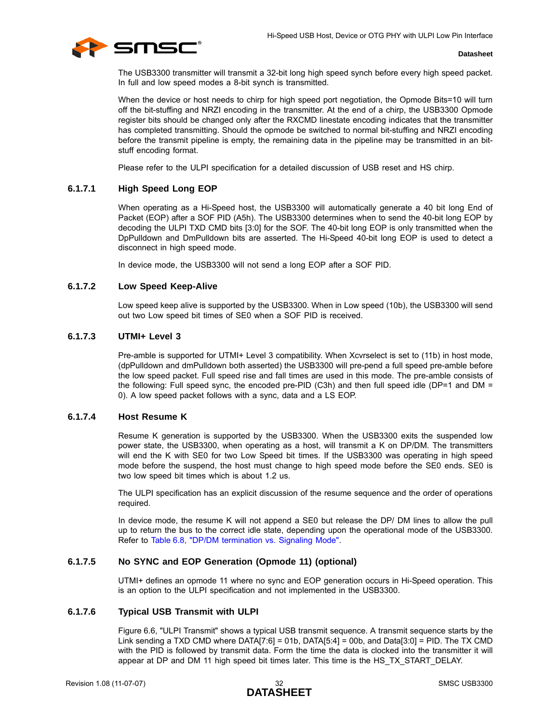

The USB3300 transmitter will transmit a 32-bit long high speed synch before every high speed packet. In full and low speed modes a 8-bit synch is transmitted.

When the device or host needs to chirp for high speed port negotiation, the Opmode Bits=10 will turn off the bit-stuffing and NRZI encoding in the transmitter. At the end of a chirp, the USB3300 Opmode register bits should be changed only after the RXCMD linestate encoding indicates that the transmitter has completed transmitting. Should the opmode be switched to normal bit-stuffing and NRZI encoding before the transmit pipeline is empty, the remaining data in the pipeline may be transmitted in an bitstuff encoding format.

Please refer to the ULPI specification for a detailed discussion of USB reset and HS chirp.

#### **6.1.7.1 High Speed Long EOP**

When operating as a Hi-Speed host, the USB3300 will automatically generate a 40 bit long End of Packet (EOP) after a SOF PID (A5h). The USB3300 determines when to send the 40-bit long EOP by decoding the ULPI TXD CMD bits [3:0] for the SOF. The 40-bit long EOP is only transmitted when the DpPulldown and DmPulldown bits are asserted. The Hi-Speed 40-bit long EOP is used to detect a disconnect in high speed mode.

In device mode, the USB3300 will not send a long EOP after a SOF PID.

#### **6.1.7.2 Low Speed Keep-Alive**

Low speed keep alive is supported by the USB3300. When in Low speed (10b), the USB3300 will send out two Low speed bit times of SE0 when a SOF PID is received.

#### **6.1.7.3 UTMI+ Level 3**

Pre-amble is supported for UTMI+ Level 3 compatibility. When Xcvrselect is set to (11b) in host mode, (dpPulldown and dmPulldown both asserted) the USB3300 will pre-pend a full speed pre-amble before the low speed packet. Full speed rise and fall times are used in this mode. The pre-amble consists of the following: Full speed sync, the encoded pre-PID (C3h) and then full speed idle (DP=1 and DM = 0). A low speed packet follows with a sync, data and a LS EOP.

#### <span id="page-31-0"></span>**6.1.7.4 Host Resume K**

Resume K generation is supported by the USB3300. When the USB3300 exits the suspended low power state, the USB3300, when operating as a host, will transmit a K on DP/DM. The transmitters will end the K with SE0 for two Low Speed bit times. If the USB3300 was operating in high speed mode before the suspend, the host must change to high speed mode before the SE0 ends. SE0 is two low speed bit times which is about 1.2 us.

The ULPI specification has an explicit discussion of the resume sequence and the order of operations required.

In device mode, the resume K will not append a SE0 but release the DP/ DM lines to allow the pull up to return the bus to the correct idle state, depending upon the operational mode of the USB3300. Refer to [Table 6.8, "DP/DM termination vs. Signaling Mode".](#page-38-0)

#### **6.1.7.5 No SYNC and EOP Generation (Opmode 11) (optional)**

UTMI+ defines an opmode 11 where no sync and EOP generation occurs in Hi-Speed operation. This is an option to the ULPI specification and not implemented in the USB3300.

#### **6.1.7.6 Typical USB Transmit with ULPI**

[Figure 6.6, "ULPI Transmit"](#page-32-1) shows a typical USB transmit sequence. A transmit sequence starts by the Link sending a TXD CMD where DATA[7:6] = 01b, DATA[5:4] = 00b, and Data[3:0] = PID. The TX CMD with the PID is followed by transmit data. Form the time the data is clocked into the transmitter it will appear at DP and DM 11 high speed bit times later. This time is the HS\_TX\_START\_DELAY.

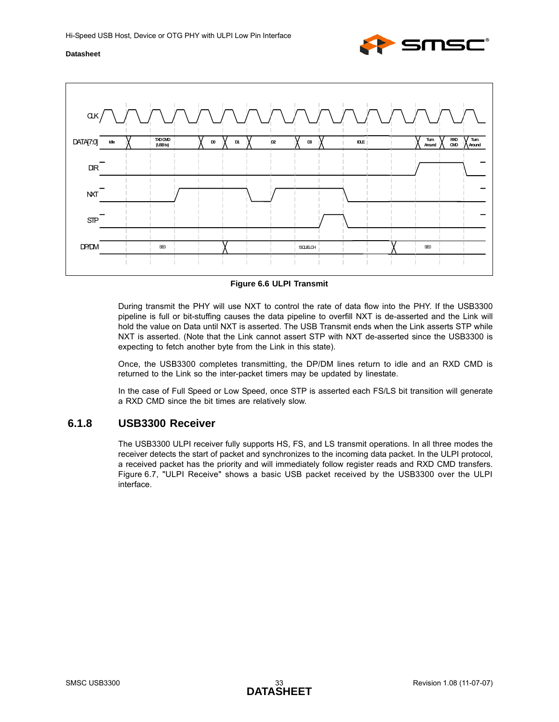



**Figure 6.6 ULPI Transmit**

<span id="page-32-1"></span>During transmit the PHY will use NXT to control the rate of data flow into the PHY. If the USB3300 pipeline is full or bit-stuffing causes the data pipeline to overfill NXT is de-asserted and the Link will hold the value on Data until NXT is asserted. The USB Transmit ends when the Link asserts STP while NXT is asserted. (Note that the Link cannot assert STP with NXT de-asserted since the USB3300 is expecting to fetch another byte from the Link in this state).

Once, the USB3300 completes transmitting, the DP/DM lines return to idle and an RXD CMD is returned to the Link so the inter-packet timers may be updated by linestate.

In the case of Full Speed or Low Speed, once STP is asserted each FS/LS bit transition will generate a RXD CMD since the bit times are relatively slow.

## <span id="page-32-0"></span>**6.1.8 USB3300 Receiver**

The USB3300 ULPI receiver fully supports HS, FS, and LS transmit operations. In all three modes the receiver detects the start of packet and synchronizes to the incoming data packet. In the ULPI protocol, a received packet has the priority and will immediately follow register reads and RXD CMD transfers. [Figure 6.7, "ULPI Receive"](#page-33-1) shows a basic USB packet received by the USB3300 over the ULPI interface.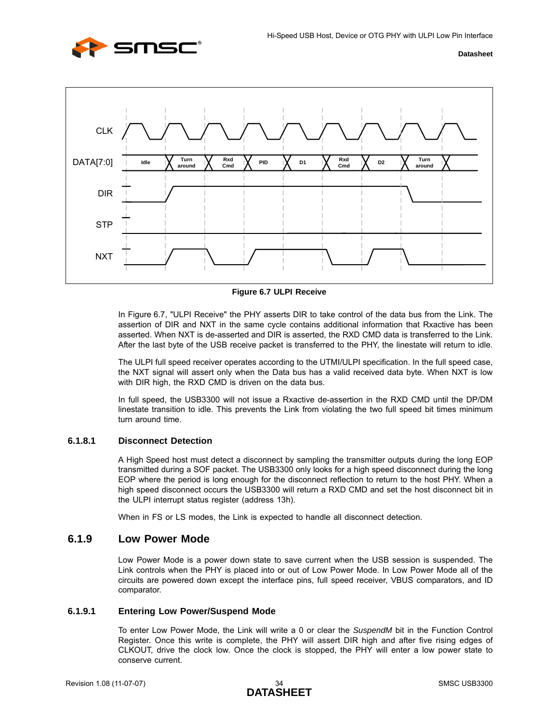



**Figure 6.7 ULPI Receive**

<span id="page-33-1"></span>In [Figure 6.7, "ULPI Receive"](#page-33-1) the PHY asserts DIR to take control of the data bus from the Link. The assertion of DIR and NXT in the same cycle contains additional information that Rxactive has been asserted. When NXT is de-asserted and DIR is asserted, the RXD CMD data is transferred to the Link. After the last byte of the USB receive packet is transferred to the PHY, the linestate will return to idle.

The ULPI full speed receiver operates according to the UTMI/ULPI specification. In the full speed case, the NXT signal will assert only when the Data bus has a valid received data byte. When NXT is low with DIR high, the RXD CMD is driven on the data bus.

In full speed, the USB3300 will not issue a Rxactive de-assertion in the RXD CMD until the DP/DM linestate transition to idle. This prevents the Link from violating the two full speed bit times minimum turn around time.

#### **6.1.8.1 Disconnect Detection**

A High Speed host must detect a disconnect by sampling the transmitter outputs during the long EOP transmitted during a SOF packet. The USB3300 only looks for a high speed disconnect during the long EOP where the period is long enough for the disconnect reflection to return to the host PHY. When a high speed disconnect occurs the USB3300 will return a RXD CMD and set the host disconnect bit in the ULPI interrupt status register (address 13h).

When in FS or LS modes, the Link is expected to handle all disconnect detection.

## <span id="page-33-0"></span>**6.1.9 Low Power Mode**

Low Power Mode is a power down state to save current when the USB session is suspended. The Link controls when the PHY is placed into or out of Low Power Mode. In Low Power Mode all of the circuits are powered down except the interface pins, full speed receiver, VBUS comparators, and ID comparator.

#### **6.1.9.1 Entering Low Power/Suspend Mode**

To enter Low Power Mode, the Link will write a 0 or clear the *SuspendM* bit in the Function Control Register. Once this write is complete, the PHY will assert DIR high and after five rising edges of CLKOUT, drive the clock low. Once the clock is stopped, the PHY will enter a low power state to conserve current.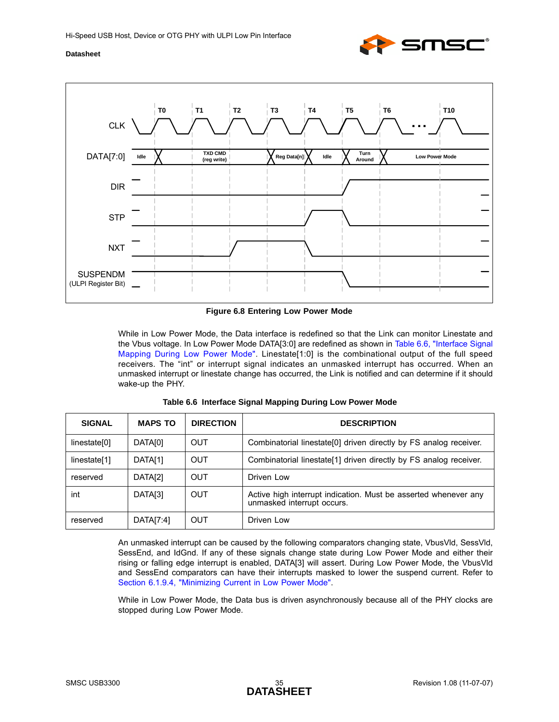



**Figure 6.8 Entering Low Power Mode**

<span id="page-34-0"></span>While in Low Power Mode, the Data interface is redefined so that the Link can monitor Linestate and the Vbus voltage. In Low Power Mode DATA[3:0] are redefined as shown in [Table 6.6, "Interface Signal](#page-34-1) [Mapping During Low Power Mode"](#page-34-1). Linestate[1:0] is the combinational output of the full speed receivers. The "int" or interrupt signal indicates an unmasked interrupt has occurred. When an unmasked interrupt or linestate change has occurred, the Link is notified and can determine if it should wake-up the PHY.

<span id="page-34-1"></span>

| <b>SIGNAL</b> | <b>MAPS TO</b> | <b>DIRECTION</b> | <b>DESCRIPTION</b>                                                                            |  |  |
|---------------|----------------|------------------|-----------------------------------------------------------------------------------------------|--|--|
| linestate[0]  | DATA[0]        | <b>OUT</b>       | Combinatorial linestate[0] driven directly by FS analog receiver.                             |  |  |
| linestate[1]  | DATA[1]        | <b>OUT</b>       | Combinatorial linestate <sup>[1]</sup> driven directly by FS analog receiver.                 |  |  |
| reserved      | DATA[2]        | <b>OUT</b>       | Driven Low                                                                                    |  |  |
| int           | DATA[3]        | <b>OUT</b>       | Active high interrupt indication. Must be asserted whenever any<br>unmasked interrupt occurs. |  |  |
| reserved      | DATA[7:4]      | <b>OUT</b>       | Driven Low                                                                                    |  |  |

|  |  |  |  | Table 6.6 Interface Signal Mapping During Low Power Mode |
|--|--|--|--|----------------------------------------------------------|
|--|--|--|--|----------------------------------------------------------|

An unmasked interrupt can be caused by the following comparators changing state, VbusVld, SessVld, SessEnd, and IdGnd. If any of these signals change state during Low Power Mode and either their rising or falling edge interrupt is enabled, DATA[3] will assert. During Low Power Mode, the VbusVld and SessEnd comparators can have their interrupts masked to lower the suspend current. Refer to [Section 6.1.9.4, "Minimizing Current in Low Power Mode".](#page-36-1)

While in Low Power Mode, the Data bus is driven asynchronously because all of the PHY clocks are stopped during Low Power Mode.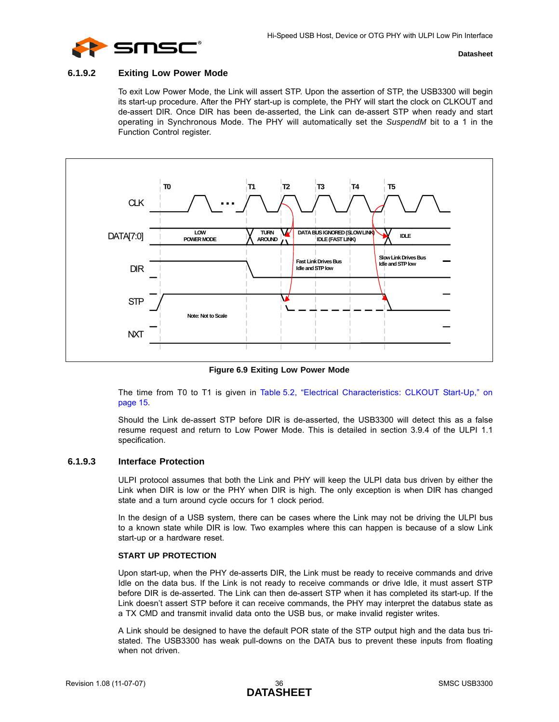

#### **6.1.9.2 Exiting Low Power Mode**

To exit Low Power Mode, the Link will assert STP. Upon the assertion of STP, the USB3300 will begin its start-up procedure. After the PHY start-up is complete, the PHY will start the clock on CLKOUT and de-assert DIR. Once DIR has been de-asserted, the Link can de-assert STP when ready and start operating in Synchronous Mode. The PHY will automatically set the *SuspendM* bit to a 1 in the Function Control register.



**Figure 6.9 Exiting Low Power Mode**

<span id="page-35-0"></span>The time from T0 to T1 is given in [Table 5.2, "Electrical Characteristics: CLKOUT Start-Up," on](#page-14-3) [page 15.](#page-14-3)

Should the Link de-assert STP before DIR is de-asserted, the USB3300 will detect this as a false resume request and return to Low Power Mode. This is detailed in section 3.9.4 of the ULPI 1.1 specification.

#### <span id="page-35-2"></span>**6.1.9.3 Interface Protection**

<span id="page-35-1"></span>ULPI protocol assumes that both the Link and PHY will keep the ULPI data bus driven by either the Link when DIR is low or the PHY when DIR is high. The only exception is when DIR has changed state and a turn around cycle occurs for 1 clock period.

In the design of a USB system, there can be cases where the Link may not be driving the ULPI bus to a known state while DIR is low. Two examples where this can happen is because of a slow Link start-up or a hardware reset.

#### **START UP PROTECTION**

Upon start-up, when the PHY de-asserts DIR, the Link must be ready to receive commands and drive Idle on the data bus. If the Link is not ready to receive commands or drive Idle, it must assert STP before DIR is de-asserted. The Link can then de-assert STP when it has completed its start-up. If the Link doesn't assert STP before it can receive commands, the PHY may interpret the databus state as a TX CMD and transmit invalid data onto the USB bus, or make invalid register writes.

A Link should be designed to have the default POR state of the STP output high and the data bus tristated. The USB3300 has weak pull-downs on the DATA bus to prevent these inputs from floating when not driven.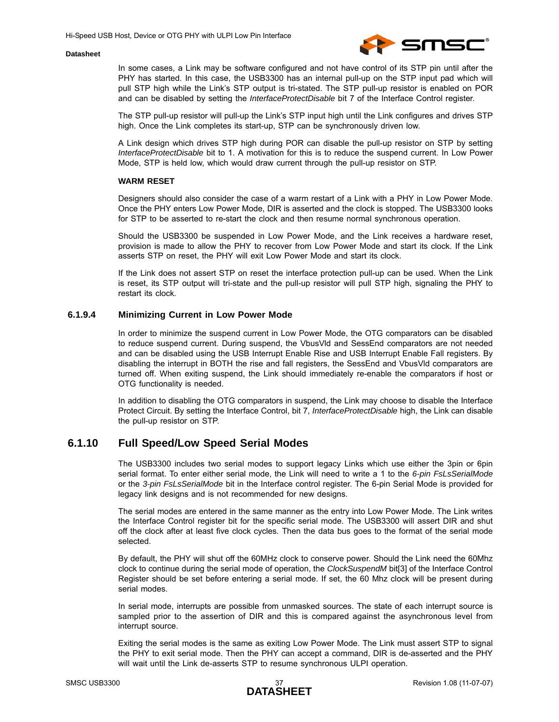

In some cases, a Link may be software configured and not have control of its STP pin until after the PHY has started. In this case, the USB3300 has an internal pull-up on the STP input pad which will pull STP high while the Link's STP output is tri-stated. The STP pull-up resistor is enabled on POR and can be disabled by setting the *InterfaceProtectDisable* bit 7 of the Interface Control register.

The STP pull-up resistor will pull-up the Link's STP input high until the Link configures and drives STP high. Once the Link completes its start-up, STP can be synchronously driven low.

A Link design which drives STP high during POR can disable the pull-up resistor on STP by setting *InterfaceProtectDisable* bit to 1. A motivation for this is to reduce the suspend current. In Low Power Mode, STP is held low, which would draw current through the pull-up resistor on STP.

#### **WARM RESET**

Designers should also consider the case of a warm restart of a Link with a PHY in Low Power Mode. Once the PHY enters Low Power Mode, DIR is asserted and the clock is stopped. The USB3300 looks for STP to be asserted to re-start the clock and then resume normal synchronous operation.

Should the USB3300 be suspended in Low Power Mode, and the Link receives a hardware reset, provision is made to allow the PHY to recover from Low Power Mode and start its clock. If the Link asserts STP on reset, the PHY will exit Low Power Mode and start its clock.

If the Link does not assert STP on reset the interface protection pull-up can be used. When the Link is reset, its STP output will tri-state and the pull-up resistor will pull STP high, signaling the PHY to restart its clock.

#### <span id="page-36-1"></span>**6.1.9.4 Minimizing Current in Low Power Mode**

In order to minimize the suspend current in Low Power Mode, the OTG comparators can be disabled to reduce suspend current. During suspend, the VbusVld and SessEnd comparators are not needed and can be disabled using the USB Interrupt Enable Rise and USB Interrupt Enable Fall registers. By disabling the interrupt in BOTH the rise and fall registers, the SessEnd and VbusVld comparators are turned off. When exiting suspend, the Link should immediately re-enable the comparators if host or OTG functionality is needed.

In addition to disabling the OTG comparators in suspend, the Link may choose to disable the Interface Protect Circuit. By setting the Interface Control, bit 7, *InterfaceProtectDisable* high, the Link can disable the pull-up resistor on STP.

## <span id="page-36-0"></span>**6.1.10 Full Speed/Low Speed Serial Modes**

The USB3300 includes two serial modes to support legacy Links which use either the 3pin or 6pin serial format. To enter either serial mode, the Link will need to write a 1 to the *6-pin FsLsSerialMode* or the *3-pin FsLsSerialMode* bit in the Interface control register. The 6-pin Serial Mode is provided for legacy link designs and is not recommended for new designs.

The serial modes are entered in the same manner as the entry into Low Power Mode. The Link writes the Interface Control register bit for the specific serial mode. The USB3300 will assert DIR and shut off the clock after at least five clock cycles. Then the data bus goes to the format of the serial mode selected.

By default, the PHY will shut off the 60MHz clock to conserve power. Should the Link need the 60Mhz clock to continue during the serial mode of operation, the *ClockSuspendM* bit[3] of the Interface Control Register should be set before entering a serial mode. If set, the 60 Mhz clock will be present during serial modes.

In serial mode, interrupts are possible from unmasked sources. The state of each interrupt source is sampled prior to the assertion of DIR and this is compared against the asynchronous level from interrupt source.

Exiting the serial modes is the same as exiting Low Power Mode. The Link must assert STP to signal the PHY to exit serial mode. Then the PHY can accept a command, DIR is de-asserted and the PHY will wait until the Link de-asserts STP to resume synchronous ULPI operation.

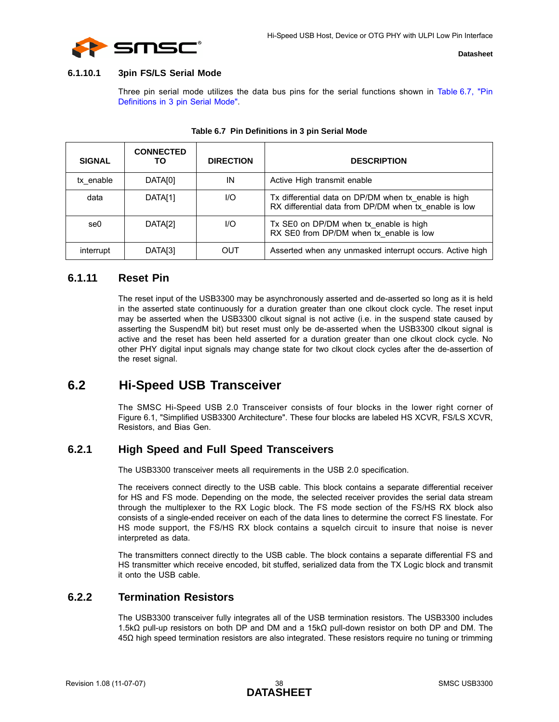

#### **6.1.10.1 3pin FS/LS Serial Mode**

Three pin serial mode utilizes the data bus pins for the serial functions shown in [Table 6.7, "Pin](#page-37-4) [Definitions in 3 pin Serial Mode"](#page-37-4).

<span id="page-37-4"></span>

| <b>SIGNAL</b> | <b>CONNECTED</b><br>ТΟ | <b>DIRECTION</b> | <b>DESCRIPTION</b>                                                                                            |
|---------------|------------------------|------------------|---------------------------------------------------------------------------------------------------------------|
| tx enable     | DATA[0]                | IN               | Active High transmit enable                                                                                   |
| data          | DATA[1]                | 1/O              | Tx differential data on DP/DM when tx enable is high<br>RX differential data from DP/DM when tx enable is low |
| se0           | DATA <sub>[2]</sub>    | I/O              | Tx SE0 on DP/DM when tx enable is high<br>RX SE0 from DP/DM when tx enable is low                             |
| interrupt     | DATA[3]                | OUT              | Asserted when any unmasked interrupt occurs. Active high                                                      |

#### **Table 6.7 Pin Definitions in 3 pin Serial Mode**

## <span id="page-37-0"></span>**6.1.11 Reset Pin**

<span id="page-37-5"></span>The reset input of the USB3300 may be asynchronously asserted and de-asserted so long as it is held in the asserted state continuously for a duration greater than one clkout clock cycle. The reset input may be asserted when the USB3300 clkout signal is not active (i.e. in the suspend state caused by asserting the SuspendM bit) but reset must only be de-asserted when the USB3300 clkout signal is active and the reset has been held asserted for a duration greater than one clkout clock cycle. No other PHY digital input signals may change state for two clkout clock cycles after the de-assertion of the reset signal.

## <span id="page-37-1"></span>**6.2 Hi-Speed USB Transceiver**

The SMSC Hi-Speed USB 2.0 Transceiver consists of four blocks in the lower right corner of [Figure 6.1, "Simplified USB3300 Architecture".](#page-18-2) These four blocks are labeled HS XCVR, FS/LS XCVR, Resistors, and Bias Gen.

## <span id="page-37-2"></span>**6.2.1 High Speed and Full Speed Transceivers**

The USB3300 transceiver meets all requirements in the USB 2.0 specification.

The receivers connect directly to the USB cable. This block contains a separate differential receiver for HS and FS mode. Depending on the mode, the selected receiver provides the serial data stream through the multiplexer to the RX Logic block. The FS mode section of the FS/HS RX block also consists of a single-ended receiver on each of the data lines to determine the correct FS linestate. For HS mode support, the FS/HS RX block contains a squelch circuit to insure that noise is never interpreted as data.

The transmitters connect directly to the USB cable. The block contains a separate differential FS and HS transmitter which receive encoded, bit stuffed, serialized data from the TX Logic block and transmit it onto the USB cable.

## <span id="page-37-3"></span>**6.2.2 Termination Resistors**

The USB3300 transceiver fully integrates all of the USB termination resistors. The USB3300 includes 1.5kΩ pull-up resistors on both DP and DM and a 15kΩ pull-down resistor on both DP and DM. The 45Ω high speed termination resistors are also integrated. These resistors require no tuning or trimming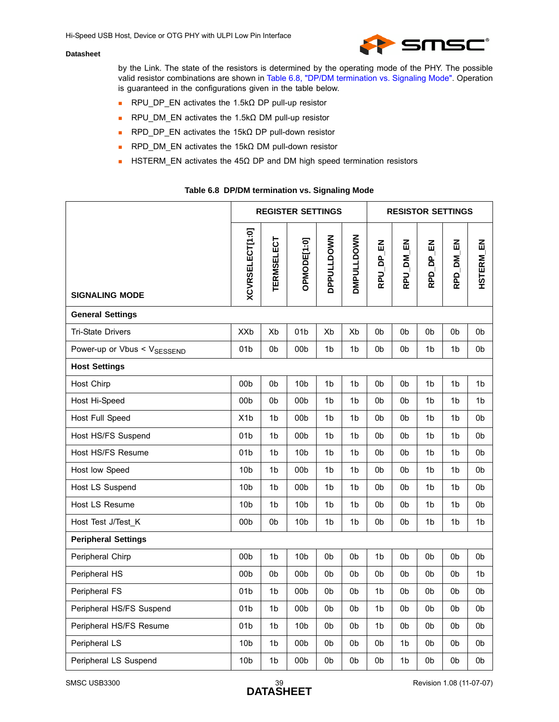

by the Link. The state of the resistors is determined by the operating mode of the PHY. The possible valid resistor combinations are shown in [Table 6.8, "DP/DM termination vs. Signaling Mode"](#page-38-0). Operation is guaranteed in the configurations given in the table below.

- RPU\_DP\_EN activates the 1.5kΩ DP pull-up resistor
- RPU\_DM\_EN activates the 1.5kΩ DM pull-up resistor
- RPD DP\_EN activates the 15kΩ DP pull-down resistor
- **RPD\_DM\_EN activates the 15kΩ DM pull-down resistor**
- **HISTERM** EN activates the 45 $\Omega$  DP and DM high speed termination resistors

#### **Table 6.8 DP/DM termination vs. Signaling Mode**

<span id="page-38-0"></span>

|                                         |                        |                   | <b>REGISTER SETTINGS</b> |                   |                   |                |           | <b>RESISTOR SETTINGS</b> |           |                  |
|-----------------------------------------|------------------------|-------------------|--------------------------|-------------------|-------------------|----------------|-----------|--------------------------|-----------|------------------|
| <b>SIGNALING MODE</b>                   | <b>XCVRSELECT[1:0]</b> | <b>TERMSELECT</b> | OPMODE[1:0]              | <b>DPPULLDOWN</b> | <b>DMPULLDOWN</b> | RPU_DP_EN      | RPU_DM_EN | RPD_DP_EN                | RPD_DM_EN | <b>HSTERM_EN</b> |
| <b>General Settings</b>                 |                        |                   |                          |                   |                   |                |           |                          |           |                  |
| <b>Tri-State Drivers</b>                | <b>XXb</b>             | Xb                | 01 <sub>b</sub>          | Xb                | Xb                | 0 <sub>b</sub> | 0b        | 0b                       | 0b        | 0b               |
| Power-up or Vbus < V <sub>SESSEND</sub> | 01 <sub>b</sub>        | 0 <sub>b</sub>    | 00 <sub>b</sub>          | 1 <sub>b</sub>    | 1 <sub>b</sub>    | 0b             | 0b        | 1 <sub>b</sub>           | 1b        | 0b               |
| <b>Host Settings</b>                    |                        |                   |                          |                   |                   |                |           |                          |           |                  |
| <b>Host Chirp</b>                       | 00 <sub>b</sub>        | 0b                | 10 <sub>b</sub>          | 1b                | 1b                | 0b             | 0b        | 1b                       | 1b        | 1b               |
| Host Hi-Speed                           | 00 <sub>b</sub>        | 0b                | 00 <sub>b</sub>          | 1b                | 1b                | 0b             | 0b        | 1 <sub>b</sub>           | 1b        | 1b               |
| Host Full Speed                         | X <sub>1</sub> b       | 1b                | 00b                      | 1b                | 1b                | 0b             | 0b        | 1 <sub>b</sub>           | 1b        | 0b               |
| Host HS/FS Suspend                      | 01 <sub>b</sub>        | 1b                | 00b                      | 1b                | 1b                | 0b             | 0b        | 1 <sub>b</sub>           | 1b        | 0b               |
| Host HS/FS Resume                       | 01 <sub>b</sub>        | 1b                | 10 <sub>b</sub>          | 1b                | 1b                | 0b             | 0b        | 1b                       | 1b        | 0b               |
| Host low Speed                          | 10 <sub>b</sub>        | 1 <sub>b</sub>    | 00b                      | 1b                | 1 <sub>b</sub>    | 0 <sub>b</sub> | 0b        | 1 <sub>b</sub>           | 1b        | 0b               |
| Host LS Suspend                         | 10 <sub>b</sub>        | 1 <sub>b</sub>    | 00b                      | 1b                | 1b                | 0b             | 0b        | 1 <sub>b</sub>           | 1b        | 0b               |
| Host LS Resume                          | 10 <sub>b</sub>        | 1b                | 10 <sub>b</sub>          | 1b                | 1b                | 0b             | 0b        | 1b                       | 1b        | 0b               |
| Host Test J/Test K                      | 00 <sub>b</sub>        | 0b                | 10 <sub>b</sub>          | 1b                | 1b                | 0b             | 0b        | 1 <sub>b</sub>           | 1b        | 1b               |
| <b>Peripheral Settings</b>              |                        |                   |                          |                   |                   |                |           |                          |           |                  |
| Peripheral Chirp                        | 00 <sub>b</sub>        | 1 <sub>b</sub>    | 10 <sub>b</sub>          | 0 <sub>b</sub>    | 0b                | 1 <sub>b</sub> | 0b        | 0 <sub>b</sub>           | 0b        | 0b               |
| Peripheral HS                           | 00 <sub>b</sub>        | 0b                | 00 <sub>b</sub>          | 0b                | 0b                | 0 <sub>b</sub> | 0b        | 0 <sub>b</sub>           | 0b        | 1 <sub>b</sub>   |
| Peripheral FS                           | 01 <sub>b</sub>        | 1b                | 00b                      | 0b                | 0b                | 1b             | 0b        | 0 <sub>b</sub>           | 0b        | 0b               |
| Peripheral HS/FS Suspend                | 01 <sub>b</sub>        | 1b                | 00 <sub>b</sub>          | 0b                | 0b                | 1b             | 0b        | 0b                       | 0b        | 0b               |
| Peripheral HS/FS Resume                 | 01 <sub>b</sub>        | 1b                | 10 <sub>b</sub>          | 0b                | 0b                | 1b             | 0b        | 0 <sub>b</sub>           | 0b        | 0b               |
| Peripheral LS                           | 10 <sub>b</sub>        | 1b                | 00 <sub>b</sub>          | 0b                | 0b                | 0b             | 1b        | 0b                       | 0b        | 0b               |
| Peripheral LS Suspend                   | 10 <sub>b</sub>        | 1b                | 00 <sub>b</sub>          | 0b                | 0b                | 0b             | 1b        | 0b                       | 0b        | 0b               |

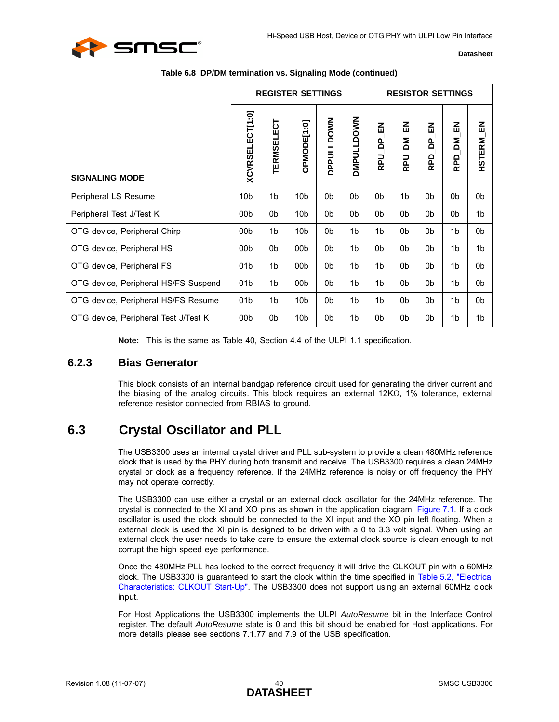

|                                      | <b>REGISTER SETTINGS</b> |                   |                 |                   |                   | <b>RESISTOR SETTINGS</b> |                      |                      |                       |                  |
|--------------------------------------|--------------------------|-------------------|-----------------|-------------------|-------------------|--------------------------|----------------------|----------------------|-----------------------|------------------|
| <b>SIGNALING MODE</b>                | XCVRSELECT[1:0]          | <b>TERMSELECT</b> | OPMODE[1:0]     | <b>DPPULLDOWN</b> | <b>DMPULLDOWN</b> | 룹<br>å<br><b>Dd</b>      | 즶<br>ΣÑ<br><b>Dd</b> | 즚<br>å<br><b>RPD</b> | 즶<br>Σď<br><b>RPD</b> | <b>HSTERM_EN</b> |
| Peripheral LS Resume                 | 10 <sub>b</sub>          | 1 <sub>b</sub>    | 10 <sub>b</sub> | 0b                | 0 <sub>b</sub>    | 0 <sub>b</sub>           | 1 <sub>b</sub>       | 0b                   | 0b                    | 0b               |
| Peripheral Test J/Test K             | 00 <sub>b</sub>          | 0b                | 10 <sub>b</sub> | 0 <sub>b</sub>    | 0 <sub>b</sub>    | 0b                       | 0b                   | 0b                   | 0b                    | 1 <sub>b</sub>   |
| OTG device, Peripheral Chirp         | 00 <sub>b</sub>          | 1 <sub>b</sub>    | 10 <sub>b</sub> | 0b                | 1 <sub>b</sub>    | 1 <sub>b</sub>           | 0b                   | 0b                   | 1 <sub>b</sub>        | 0b               |
| OTG device, Peripheral HS            | 00 <sub>b</sub>          | 0b                | 00 <sub>b</sub> | 0b                | 1b                | 0b                       | 0b                   | 0b                   | 1 <sub>b</sub>        | 1 <sub>b</sub>   |
| OTG device, Peripheral FS            | 01 <sub>b</sub>          | 1 <sub>b</sub>    | 00 <sub>b</sub> | 0b                | 1 <sub>b</sub>    | 1 <sub>b</sub>           | 0b                   | 0b                   | 1 <sub>b</sub>        | 0 <sub>b</sub>   |
| OTG device, Peripheral HS/FS Suspend | 01 <sub>b</sub>          | 1b                | 00 <sub>b</sub> | 0b                | 1b                | 1 <sub>b</sub>           | 0b                   | 0b                   | 1 <sub>b</sub>        | 0b               |
| OTG device, Peripheral HS/FS Resume  | 01 <sub>b</sub>          | 1b                | 10 <sub>b</sub> | 0b                | 1b                | 1 <sub>b</sub>           | 0b                   | 0b                   | 1b                    | 0b               |
| OTG device, Peripheral Test J/Test K | 00 <sub>b</sub>          | 0b                | 10 <sub>b</sub> | 0b                | 1b                | 0b                       | 0b                   | 0b                   | 1b                    | 1b               |

#### **Table 6.8 DP/DM termination vs. Signaling Mode (continued)**

**Note:** This is the same as Table 40, Section 4.4 of the ULPI 1.1 specification.

### <span id="page-39-0"></span>**6.2.3 Bias Generator**

<span id="page-39-2"></span>This block consists of an internal bandgap reference circuit used for generating the driver current and the biasing of the analog circuits. This block requires an external 12KΩ, 1% tolerance, external reference resistor connected from RBIAS to ground.

## <span id="page-39-1"></span>**6.3 Crystal Oscillator and PLL**

The USB3300 uses an internal crystal driver and PLL sub-system to provide a clean 480MHz reference clock that is used by the PHY during both transmit and receive. The USB3300 requires a clean 24MHz crystal or clock as a frequency reference. If the 24MHz reference is noisy or off frequency the PHY may not operate correctly.

The USB3300 can use either a crystal or an external clock oscillator for the 24MHz reference. The crystal is connected to the XI and XO pins as shown in the application diagram, [Figure 7.1](#page-46-2). If a clock oscillator is used the clock should be connected to the XI input and the XO pin left floating. When a external clock is used the XI pin is designed to be driven with a 0 to 3.3 volt signal. When using an external clock the user needs to take care to ensure the external clock source is clean enough to not corrupt the high speed eye performance.

Once the 480MHz PLL has locked to the correct frequency it will drive the CLKOUT pin with a 60MHz clock. The USB3300 is guaranteed to start the clock within the time specified in [Table 5.2, "Electrical](#page-14-3) [Characteristics: CLKOUT Start-Up".](#page-14-3) The USB3300 does not support using an external 60MHz clock input.

For Host Applications the USB3300 implements the ULPI *AutoResume* bit in the Interface Control register. The default *AutoResume* state is 0 and this bit should be enabled for Host applications. For more details please see sections 7.1.77 and 7.9 of the USB specification.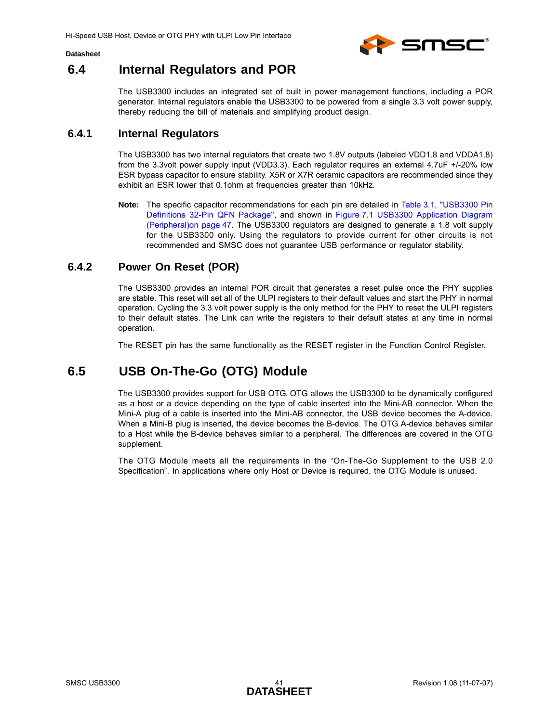

## <span id="page-40-0"></span>**6.4 Internal Regulators and POR**

The USB3300 includes an integrated set of built in power management functions, including a POR generator. Internal regulators enable the USB3300 to be powered from a single 3.3 volt power supply, thereby reducing the bill of materials and simplifying product design.

## <span id="page-40-1"></span>**6.4.1 Internal Regulators**

The USB3300 has two internal regulators that create two 1.8V outputs (labeled VDD1.8 and VDDA1.8) from the 3.3volt power supply input (VDD3.3). Each regulator requires an external 4.7uF +/-20% low ESR bypass capacitor to ensure stability. X5R or X7R ceramic capacitors are recommended since they exhibit an ESR lower that 0.1ohm at frequencies greater than 10kHz.

**Note:** The specific capacitor recommendations for each pin are detailed in [Table 3.1, "USB3300 Pin](#page-9-5) [Definitions 32-Pin QFN Package"](#page-9-5), and shown in [Figure 7.1 USB3300 Application Diagram](#page-46-2) [\(Peripheral\)on page 47.](#page-46-2) The USB3300 regulators are designed to generate a 1.8 volt supply for the USB3300 only. Using the regulators to provide current for other circuits is not recommended and SMSC does not guarantee USB performance or regulator stability.

## <span id="page-40-2"></span>**6.4.2 Power On Reset (POR)**

The USB3300 provides an internal POR circuit that generates a reset pulse once the PHY supplies are stable. This reset will set all of the ULPI registers to their default values and start the PHY in normal operation. Cycling the 3.3 volt power supply is the only method for the PHY to reset the ULPI registers to their default states. The Link can write the registers to their default states at any time in normal operation.

The RESET pin has the same functionality as the RESET register in the Function Control Register.

## <span id="page-40-3"></span>**6.5 USB On-The-Go (OTG) Module**

The USB3300 provides support for USB OTG. OTG allows the USB3300 to be dynamically configured as a host or a device depending on the type of cable inserted into the Mini-AB connector. When the Mini-A plug of a cable is inserted into the Mini-AB connector, the USB device becomes the A-device. When a Mini-B plug is inserted, the device becomes the B-device. The OTG A-device behaves similar to a Host while the B-device behaves similar to a peripheral. The differences are covered in the OTG supplement.

The OTG Module meets all the requirements in the "On-The-Go Supplement to the USB 2.0 Specification". In applications where only Host or Device is required, the OTG Module is unused.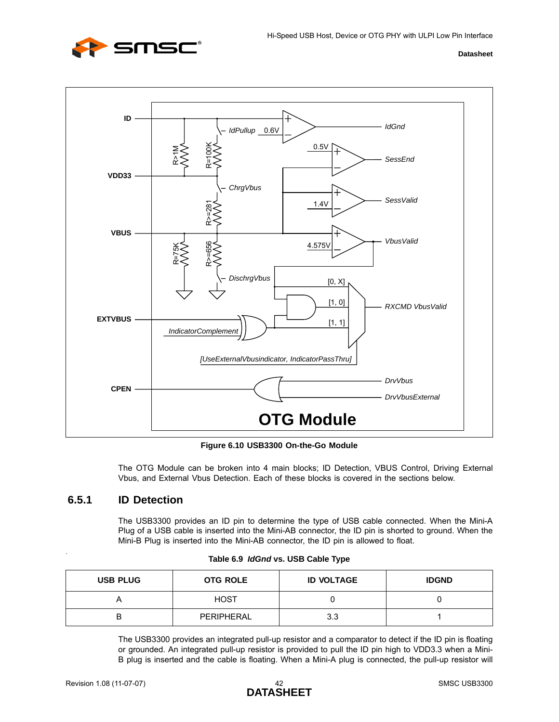



**Figure 6.10 USB3300 On-the-Go Module**

The OTG Module can be broken into 4 main blocks; ID Detection, VBUS Control, Driving External Vbus, and External Vbus Detection. Each of these blocks is covered in the sections below.

## <span id="page-41-1"></span><span id="page-41-0"></span>**6.5.1 ID Detection**

The USB3300 provides an ID pin to determine the type of USB cable connected. When the Mini-A Plug of a USB cable is inserted into the Mini-AB connector, the ID pin is shorted to ground. When the Mini-B Plug is inserted into the Mini-AB connector, the ID pin is allowed to float.

| <b>USB PLUG</b> | <b>OTG ROLE</b> | <b>ID VOLTAGE</b> | <b>IDGND</b> |
|-----------------|-----------------|-------------------|--------------|
|                 | <b>HOST</b>     |                   |              |
| ◡               | PERIPHERAL      | 3.3               |              |

| Table 6.9 IdGnd vs. USB Cable Type |  |  |  |  |  |
|------------------------------------|--|--|--|--|--|
|------------------------------------|--|--|--|--|--|

The USB3300 provides an integrated pull-up resistor and a comparator to detect if the ID pin is floating or grounded. An integrated pull-up resistor is provided to pull the ID pin high to VDD3.3 when a Mini-B plug is inserted and the cable is floating. When a Mini-A plug is connected, the pull-up resistor will

<span id="page-41-2"></span>.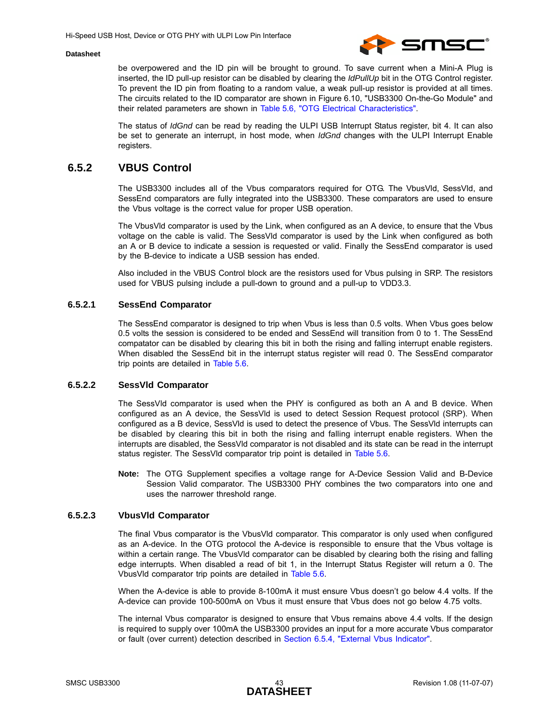

be overpowered and the ID pin will be brought to ground. To save current when a Mini-A Plug is inserted, the ID pull-up resistor can be disabled by clearing the *IdPullUp* bit in the OTG Control register. To prevent the ID pin from floating to a random value, a weak pull-up resistor is provided at all times. The circuits related to the ID comparator are shown in [Figure 6.10, "USB3300 On-the-Go Module"](#page-41-1) and their related parameters are shown in [Table 5.6, "OTG Electrical Characteristics".](#page-17-2)

The status of *IdGnd* can be read by reading the ULPI USB Interrupt Status register, bit 4. It can also be set to generate an interrupt, in host mode, when *IdGnd* changes with the ULPI Interrupt Enable registers.

## <span id="page-42-0"></span>**6.5.2 VBUS Control**

The USB3300 includes all of the Vbus comparators required for OTG. The VbusVld, SessVld, and SessEnd comparators are fully integrated into the USB3300. These comparators are used to ensure the Vbus voltage is the correct value for proper USB operation.

The VbusVld comparator is used by the Link, when configured as an A device, to ensure that the Vbus voltage on the cable is valid. The SessVld comparator is used by the Link when configured as both an A or B device to indicate a session is requested or valid. Finally the SessEnd comparator is used by the B-device to indicate a USB session has ended.

Also included in the VBUS Control block are the resistors used for Vbus pulsing in SRP. The resistors used for VBUS pulsing include a pull-down to ground and a pull-up to VDD3.3.

#### **6.5.2.1 SessEnd Comparator**

The SessEnd comparator is designed to trip when Vbus is less than 0.5 volts. When Vbus goes below 0.5 volts the session is considered to be ended and SessEnd will transition from 0 to 1. The SessEnd compatator can be disabled by clearing this bit in both the rising and falling interrupt enable registers. When disabled the SessEnd bit in the interrupt status register will read 0. The SessEnd comparator trip points are detailed in [Table 5.6](#page-17-2).

#### **6.5.2.2 SessVld Comparator**

The SessVld comparator is used when the PHY is configured as both an A and B device. When configured as an A device, the SessVld is used to detect Session Request protocol (SRP). When configured as a B device, SessVld is used to detect the presence of Vbus. The SessVld interrupts can be disabled by clearing this bit in both the rising and falling interrupt enable registers. When the interrupts are disabled, the SessVld comparator is not disabled and its state can be read in the interrupt status register. The SessVld comparator trip point is detailed in [Table 5.6.](#page-17-2)

**Note:** The OTG Supplement specifies a voltage range for A-Device Session Valid and B-Device Session Valid comparator. The USB3300 PHY combines the two comparators into one and uses the narrower threshold range.

#### **6.5.2.3 VbusVld Comparator**

The final Vbus comparator is the VbusVld comparator. This comparator is only used when configured as an A-device. In the OTG protocol the A-device is responsible to ensure that the Vbus voltage is within a certain range. The VbusVld comparator can be disabled by clearing both the rising and falling edge interrupts. When disabled a read of bit 1, in the Interrupt Status Register will return a 0. The VbusVld comparator trip points are detailed in [Table 5.6](#page-17-2).

When the A-device is able to provide 8-100mA it must ensure Vbus doesn't go below 4.4 volts. If the A-device can provide 100-500mA on Vbus it must ensure that Vbus does not go below 4.75 volts.

The internal Vbus comparator is designed to ensure that Vbus remains above 4.4 volts. If the design is required to supply over 100mA the USB3300 provides an input for a more accurate Vbus comparator or fault (over current) detection described in [Section 6.5.4, "External Vbus Indicator".](#page-43-1)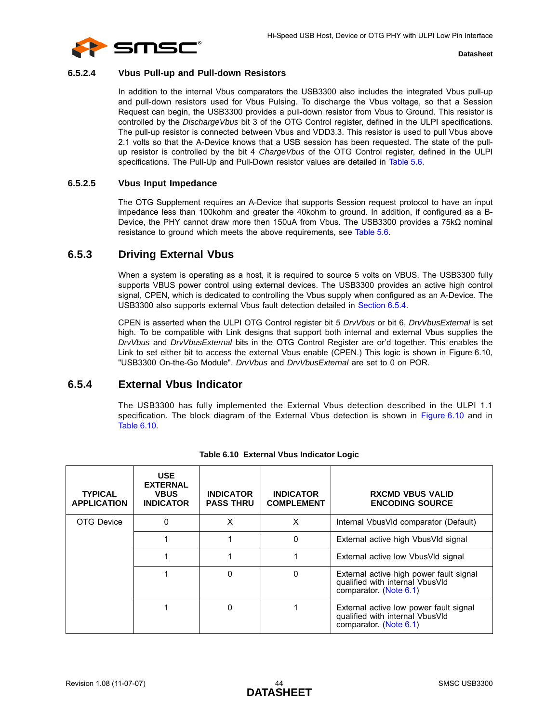

#### **6.5.2.4 Vbus Pull-up and Pull-down Resistors**

In addition to the internal Vbus comparators the USB3300 also includes the integrated Vbus pull-up and pull-down resistors used for Vbus Pulsing. To discharge the Vbus voltage, so that a Session Request can begin, the USB3300 provides a pull-down resistor from Vbus to Ground. This resistor is controlled by the *DischargeVbus* bit 3 of the OTG Control register, defined in the ULPI specifications. The pull-up resistor is connected between Vbus and VDD3.3. This resistor is used to pull Vbus above 2.1 volts so that the A-Device knows that a USB session has been requested. The state of the pullup resistor is controlled by the bit 4 *ChargeVbus* of the OTG Control register, defined in the ULPI specifications. The Pull-Up and Pull-Down resistor values are detailed in [Table 5.6.](#page-17-2)

#### **6.5.2.5 Vbus Input Impedance**

The OTG Supplement requires an A-Device that supports Session request protocol to have an input impedance less than 100kohm and greater the 40kohm to ground. In addition, if configured as a B-Device, the PHY cannot draw more then 150uA from Vbus. The USB3300 provides a 75kΩ nominal resistance to ground which meets the above requirements, see [Table 5.6.](#page-17-2)

## <span id="page-43-0"></span>**6.5.3 Driving External Vbus**

When a system is operating as a host, it is required to source 5 volts on VBUS. The USB3300 fully supports VBUS power control using external devices. The USB3300 provides an active high control signal, CPEN, which is dedicated to controlling the Vbus supply when configured as an A-Device. The USB3300 also supports external Vbus fault detection detailed in [Section 6.5.4.](#page-43-1)

CPEN is asserted when the ULPI OTG Control register bit 5 *DrvVbus* or bit 6, *DrvVbusExternal* is set high. To be compatible with Link designs that support both internal and external Vbus supplies the *DrvVbus* and *DrvVbusExternal* bits in the OTG Control Register are or'd together. This enables the Link to set either bit to access the external Vbus enable (CPEN.) This logic is shown in [Figure 6.10,](#page-41-1) ["USB3300 On-the-Go Module".](#page-41-1) *DrvVbus* and *DrvVbusExternal* are set to 0 on POR.

### <span id="page-43-1"></span>**6.5.4 External Vbus Indicator**

<span id="page-43-3"></span>The USB3300 has fully implemented the External Vbus detection described in the ULPI 1.1 specification. The block diagram of the External Vbus detection is shown in [Figure 6.10](#page-41-1) and in [Table 6.10](#page-43-2).

<span id="page-43-2"></span>

| <b>TYPICAL</b><br><b>APPLICATION</b> | <b>USE</b><br><b>EXTERNAL</b><br><b>VBUS</b><br><b>INDICATOR</b> | <b>INDICATOR</b><br><b>PASS THRU</b> | <b>INDICATOR</b><br><b>COMPLEMENT</b> | <b>RXCMD VBUS VALID</b><br><b>ENCODING SOURCE</b>                                                    |
|--------------------------------------|------------------------------------------------------------------|--------------------------------------|---------------------------------------|------------------------------------------------------------------------------------------------------|
| OTG Device                           | 0                                                                | x                                    | X                                     | Internal VbusVId comparator (Default)                                                                |
|                                      |                                                                  |                                      | 0                                     | External active high VbusVId signal                                                                  |
|                                      |                                                                  |                                      |                                       | External active low Vbus VId signal                                                                  |
|                                      |                                                                  | $\Omega$                             | 0                                     | External active high power fault signal<br>qualified with internal VbusVld<br>comparator. (Note 6.1) |
|                                      |                                                                  | $\mathbf 0$                          |                                       | External active low power fault signal<br>qualified with internal VbusVld<br>comparator. (Note 6.1)  |

#### **Table 6.10 External Vbus Indicator Logic**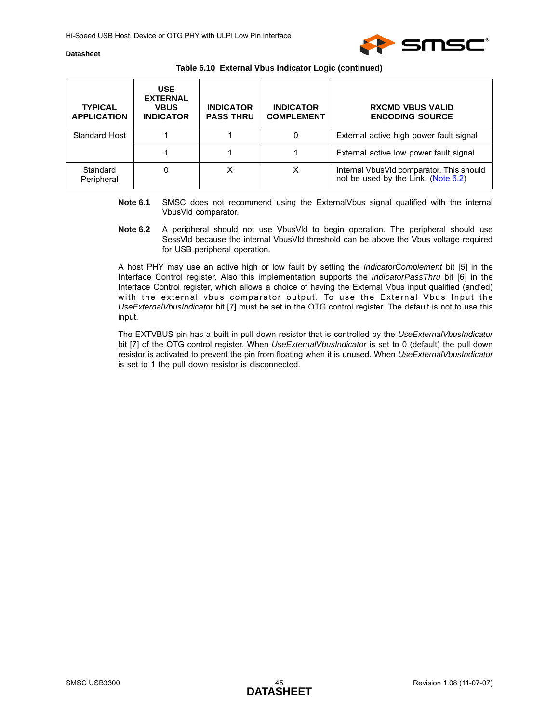

| Table 6.10 External Vbus Indicator Logic (continued) |  |  |  |  |  |  |
|------------------------------------------------------|--|--|--|--|--|--|
|------------------------------------------------------|--|--|--|--|--|--|

| <b>TYPICAL</b><br><b>APPLICATION</b> | <b>USE</b><br><b>EXTERNAL</b><br><b>VBUS</b><br><b>INDICATOR</b> | <b>INDICATOR</b><br><b>PASS THRU</b> | <b>INDICATOR</b><br><b>COMPLEMENT</b> | <b>RXCMD VBUS VALID</b><br><b>ENCODING SOURCE</b>                               |
|--------------------------------------|------------------------------------------------------------------|--------------------------------------|---------------------------------------|---------------------------------------------------------------------------------|
| Standard Host                        |                                                                  |                                      | 0                                     | External active high power fault signal                                         |
|                                      |                                                                  |                                      |                                       | External active low power fault signal                                          |
| Standard<br>Peripheral               |                                                                  |                                      | х                                     | Internal VbusVId comparator. This should<br>not be used by the Link. (Note 6.2) |

- <span id="page-44-0"></span>**Note 6.1** SMSC does not recommend using the ExternalVbus signal qualified with the internal VbusVld comparator.
- <span id="page-44-1"></span>**Note 6.2** A peripheral should not use VbusVld to begin operation. The peripheral should use SessVld because the internal VbusVld threshold can be above the Vbus voltage required for USB peripheral operation.

A host PHY may use an active high or low fault by setting the *IndicatorComplement* bit [5] in the Interface Control register. Also this implementation supports the *IndicatorPassThru* bit [6] in the Interface Control register, which allows a choice of having the External Vbus input qualified (and'ed) with the external vbus comparator output. To use the External Vbus Input the *UseExternalVbusIndicator* bit [7] must be set in the OTG control register. The default is not to use this input.

The EXTVBUS pin has a built in pull down resistor that is controlled by the *UseExternalVbusIndicator* bit [7] of the OTG control register. When *UseExternalVbusIndicator* is set to 0 (default) the pull down resistor is activated to prevent the pin from floating when it is unused. When *UseExternalVbusIndicator* is set to 1 the pull down resistor is disconnected.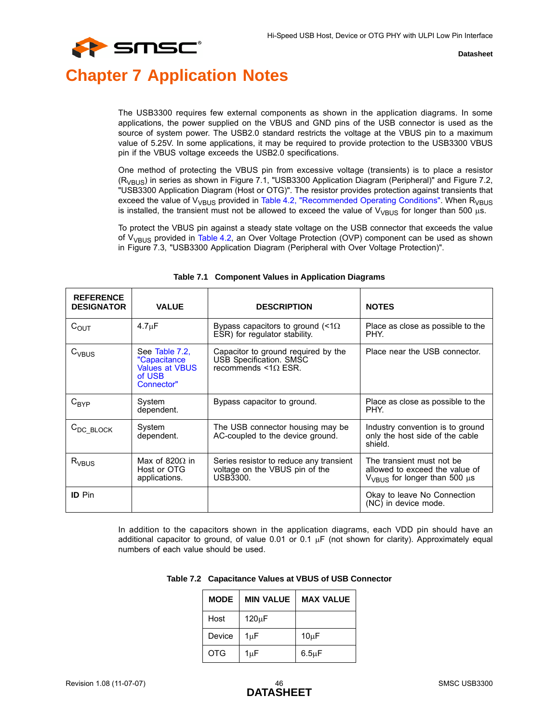

# <span id="page-45-0"></span>**Chapter 7 Application Notes**

The USB3300 requires few external components as shown in the application diagrams. In some applications, the power supplied on the VBUS and GND pins of the USB connector is used as the source of system power. The USB2.0 standard restricts the voltage at the VBUS pin to a maximum value of 5.25V. In some applications, it may be required to provide protection to the USB3300 VBUS pin if the VBUS voltage exceeds the USB2.0 specifications.

One method of protecting the VBUS pin from excessive voltage (transients) is to place a resistor  $(R<sub>VBUS</sub>)$  in series as shown in [Figure 7.1, "USB3300 Application Diagram \(Peripheral\)"](#page-46-1) and [Figure 7.2,](#page-47-0) ["USB3300 Application Diagram \(Host or OTG\)".](#page-47-0) The resistor provides protection against transients that exceed the value of  $V_{VBUS}$  provided in [Table 4.2, "Recommended Operating Conditions".](#page-13-3) When  $R_{VBUS}$ is installed, the transient must not be allowed to exceed the value of  $V_{VBUS}$  for longer than 500  $\mu$ s.

To protect the VBUS pin against a steady state voltage on the USB connector that exceeds the value of  $V_{VBIIS}$  provided in [Table 4.2](#page-13-3), an Over Voltage Protection (OVP) component can be used as shown in [Figure 7.3, "USB3300 Application Diagram \(Peripheral with Over Voltage Protection\)"](#page-48-0).

<span id="page-45-1"></span>

| <b>REFERENCE</b><br><b>DESIGNATOR</b> | <b>VALUE</b>                                                                    | <b>DESCRIPTION</b>                                                                               | <b>NOTES</b>                                                                                           |
|---------------------------------------|---------------------------------------------------------------------------------|--------------------------------------------------------------------------------------------------|--------------------------------------------------------------------------------------------------------|
| $C_{\text{OUT}}$                      | $4.7 \mu F$                                                                     | Bypass capacitors to ground $\leq 1\Omega$<br>ESR) for regulator stability.                      | Place as close as possible to the<br>PHY.                                                              |
| $C_{VBUS}$                            | See Table 7.2.<br>"Capacitance<br><b>Values at VBUS</b><br>of USB<br>Connector" | Capacitor to ground required by the<br>USB Specification. SMSC<br>recommends $\leq 1\Omega$ ESR. | Place near the USB connector.                                                                          |
| $C_{\mathsf{BYP}}$                    | System<br>dependent.                                                            | Bypass capacitor to ground.                                                                      | Place as close as possible to the<br>PHY.                                                              |
| $C_{DC_BLOCK}$                        | System<br>dependent.                                                            | The USB connector housing may be<br>AC-coupled to the device ground.                             | Industry convention is to ground<br>only the host side of the cable<br>shield.                         |
| $R_{VBUS}$                            | Max of 820 $\Omega$ in<br>Host or OTG<br>applications.                          | Series resistor to reduce any transient<br>voltage on the VBUS pin of the<br>USB3300.            | The transient must not be<br>allowed to exceed the value of<br>$V_{VBIJS}$ for longer than 500 $\mu$ s |
| <b>ID</b> Pin                         |                                                                                 |                                                                                                  | Okay to leave No Connection<br>(NC) in device mode.                                                    |

#### **Table 7.1 Component Values in Application Diagrams**

<span id="page-45-2"></span>In addition to the capacitors shown in the application diagrams, each VDD pin should have an additional capacitor to ground, of value 0.01 or 0.1  $\mu$ F (not shown for clarity). Approximately equal numbers of each value should be used.

|  | Table 7.2 Capacitance Values at VBUS of USB Connector |  |
|--|-------------------------------------------------------|--|
|--|-------------------------------------------------------|--|

| <b>MODE</b> | <b>MIN VALUE</b> | <b>MAX VALUE</b>  |
|-------------|------------------|-------------------|
| Host        | 120uF            |                   |
| Device      | $1\mu F$         | 10 <sub>µ</sub> F |
| <b>OTG</b>  | 1µF              | $6.5\mu F$        |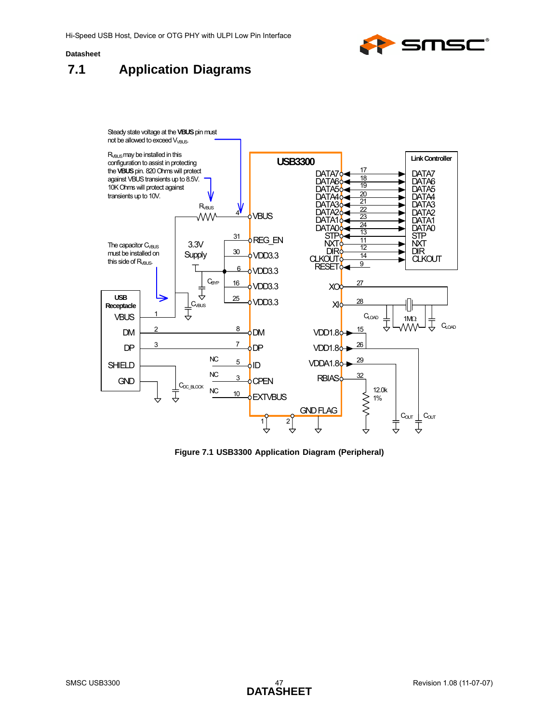

<span id="page-46-0"></span>



<span id="page-46-2"></span><span id="page-46-1"></span>**Figure 7.1 USB3300 Application Diagram (Peripheral)**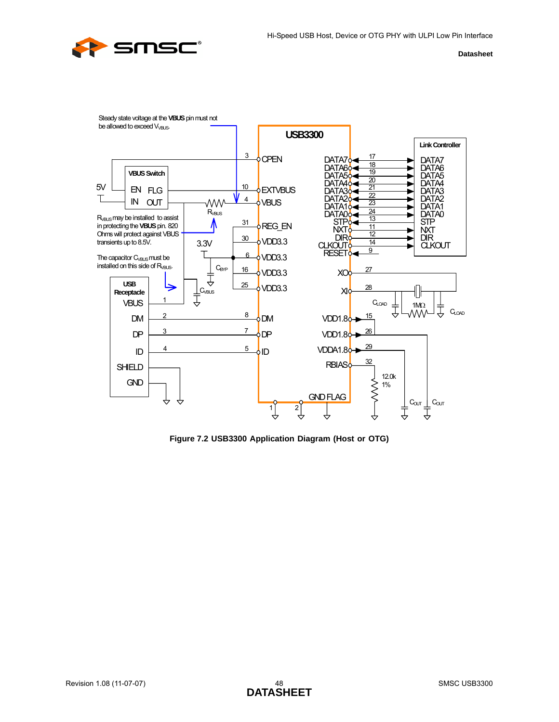



<span id="page-47-0"></span>**Figure 7.2 USB3300 Application Diagram (Host or OTG)**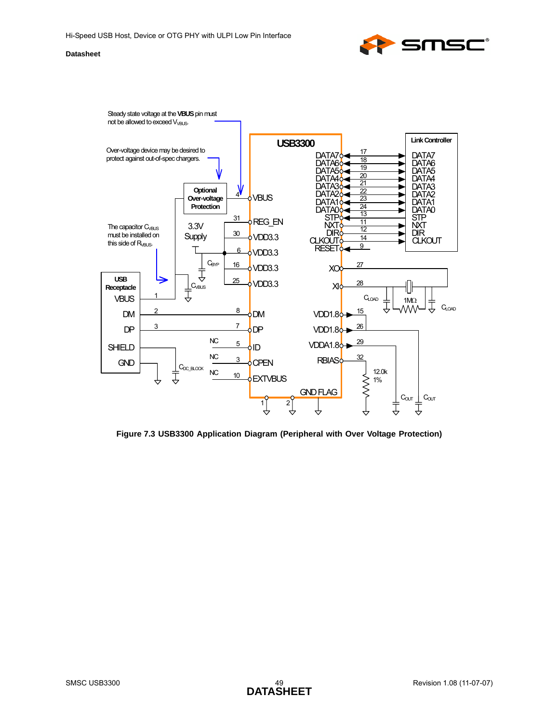



<span id="page-48-0"></span>**Figure 7.3 USB3300 Application Diagram (Peripheral with Over Voltage Protection)**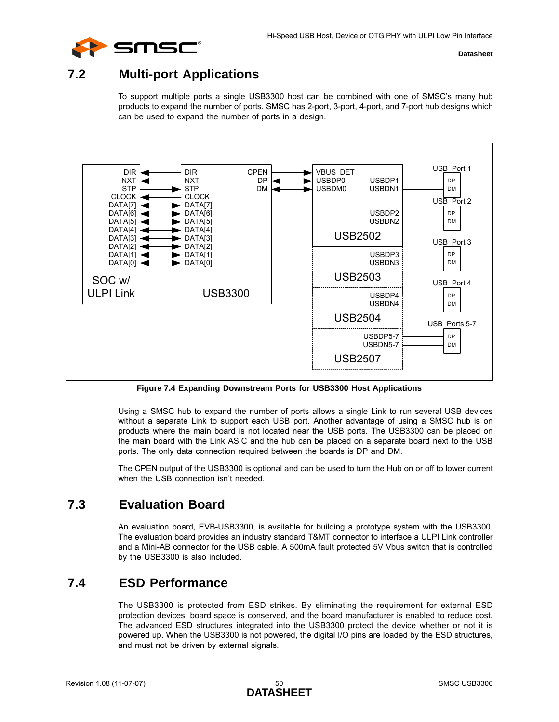

## <span id="page-49-0"></span>**7.2 Multi-port Applications**

To support multiple ports a single USB3300 host can be combined with one of SMSC's many hub products to expand the number of ports. SMSC has 2-port, 3-port, 4-port, and 7-port hub designs which can be used to expand the number of ports in a design.



**Figure 7.4 Expanding Downstream Ports for USB3300 Host Applications**

<span id="page-49-3"></span>Using a SMSC hub to expand the number of ports allows a single Link to run several USB devices without a separate Link to support each USB port. Another advantage of using a SMSC hub is on products where the main board is not located near the USB ports. The USB3300 can be placed on the main board with the Link ASIC and the hub can be placed on a separate board next to the USB ports. The only data connection required between the boards is DP and DM.

The CPEN output of the USB3300 is optional and can be used to turn the Hub on or off to lower current when the USB connection isn't needed.

## <span id="page-49-1"></span>**7.3 Evaluation Board**

An evaluation board, EVB-USB3300, is available for building a prototype system with the USB3300. The evaluation board provides an industry standard T&MT connector to interface a ULPI Link controller and a Mini-AB connector for the USB cable. A 500mA fault protected 5V Vbus switch that is controlled by the USB3300 is also included.

## <span id="page-49-2"></span>**7.4 ESD Performance**

The USB3300 is protected from ESD strikes. By eliminating the requirement for external ESD protection devices, board space is conserved, and the board manufacturer is enabled to reduce cost. The advanced ESD structures integrated into the USB3300 protect the device whether or not it is powered up. When the USB3300 is not powered, the digital I/O pins are loaded by the ESD structures, and must not be driven by external signals.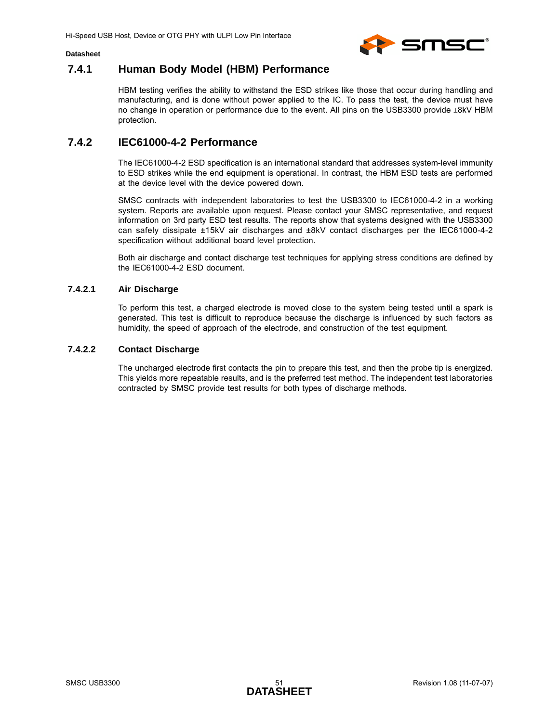



## <span id="page-50-0"></span>**7.4.1 Human Body Model (HBM) Performance**

HBM testing verifies the ability to withstand the ESD strikes like those that occur during handling and manufacturing, and is done without power applied to the IC. To pass the test, the device must have no change in operation or performance due to the event. All pins on the USB3300 provide ±8kV HBM protection.

## <span id="page-50-1"></span>**7.4.2 IEC61000-4-2 Performance**

The IEC61000-4-2 ESD specification is an international standard that addresses system-level immunity to ESD strikes while the end equipment is operational. In contrast, the HBM ESD tests are performed at the device level with the device powered down.

SMSC contracts with independent laboratories to test the USB3300 to IEC61000-4-2 in a working system. Reports are available upon request. Please contact your SMSC representative, and request information on 3rd party ESD test results. The reports show that systems designed with the USB3300 can safely dissipate ±15kV air discharges and ±8kV contact discharges per the IEC61000-4-2 specification without additional board level protection.

Both air discharge and contact discharge test techniques for applying stress conditions are defined by the IEC61000-4-2 ESD document.

#### **7.4.2.1 Air Discharge**

To perform this test, a charged electrode is moved close to the system being tested until a spark is generated. This test is difficult to reproduce because the discharge is influenced by such factors as humidity, the speed of approach of the electrode, and construction of the test equipment.

#### **7.4.2.2 Contact Discharge**

The uncharged electrode first contacts the pin to prepare this test, and then the probe tip is energized. This yields more repeatable results, and is the preferred test method. The independent test laboratories contracted by SMSC provide test results for both types of discharge methods.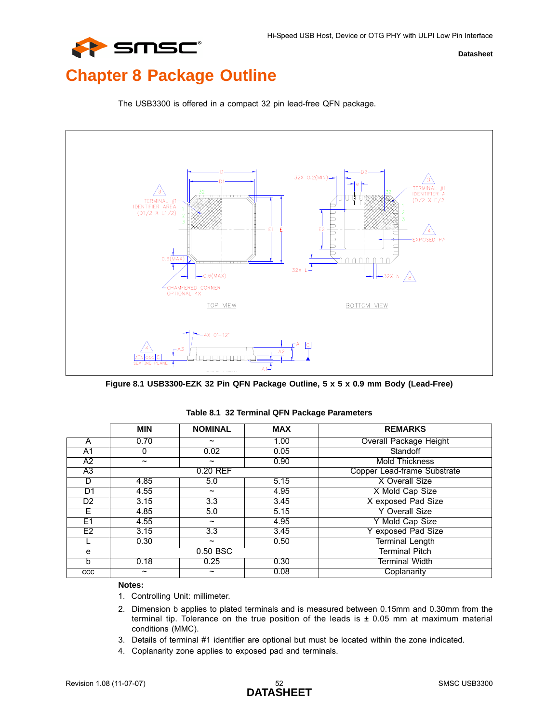# <span id="page-51-0"></span>**Chapter 8 Package Outline**



The USB3300 is offered in a compact 32 pin lead-free QFN package.

<span id="page-51-1"></span>**Figure 8.1 USB3300-EZK 32 Pin QFN Package Outline, 5 x 5 x 0.9 mm Body (Lead-Free)**

<span id="page-51-2"></span>

|     | <b>MIN</b>            | <b>NOMINAL</b>        | <b>MAX</b> | <b>REMARKS</b>                |
|-----|-----------------------|-----------------------|------------|-------------------------------|
| A   | 0.70                  | $\tilde{}$            | 1.00       | <b>Overall Package Height</b> |
| A1  |                       | 0.02                  | 0.05       | Standoff                      |
| A2  | $\tilde{\phantom{a}}$ | $\tilde{\phantom{a}}$ | 0.90       | Mold Thickness                |
| A3  |                       | 0.20 REF              |            | Copper Lead-frame Substrate   |
| D   | 4.85                  | 5.0                   | 5.15       | X Overall Size                |
| D1  | 4.55                  | J                     | 4.95       | X Mold Cap Size               |
| D2  | 3.15                  | 3.3                   | 3.45       | X exposed Pad Size            |
| E.  | 4.85                  | 5.0                   | 5.15       | Y Overall Size                |
| E1  | 4.55                  | $\tilde{\phantom{a}}$ | 4.95       | Y Mold Cap Size               |
| E2  | 3.15                  | 3.3                   | 3.45       | exposed Pad Size              |
|     | 0.30                  | $\tilde{\phantom{a}}$ | 0.50       | Terminal Length               |
| e   |                       | 0.50 BSC              |            | Terminal Pitch                |
| b   | 0.18                  | 0.25                  | 0.30       | Terminal Width                |
| CCC | $\tilde{}$            | ~                     | 0.08       | Coplanarity                   |

#### **Table 8.1 32 Terminal QFN Package Parameters**

#### **Notes:**

- 1. Controlling Unit: millimeter.
- 2. Dimension b applies to plated terminals and is measured between 0.15mm and 0.30mm from the terminal tip. Tolerance on the true position of the leads is  $\pm$  0.05 mm at maximum material conditions (MMC).
- 3. Details of terminal #1 identifier are optional but must be located within the zone indicated.
- 4. Coplanarity zone applies to exposed pad and terminals.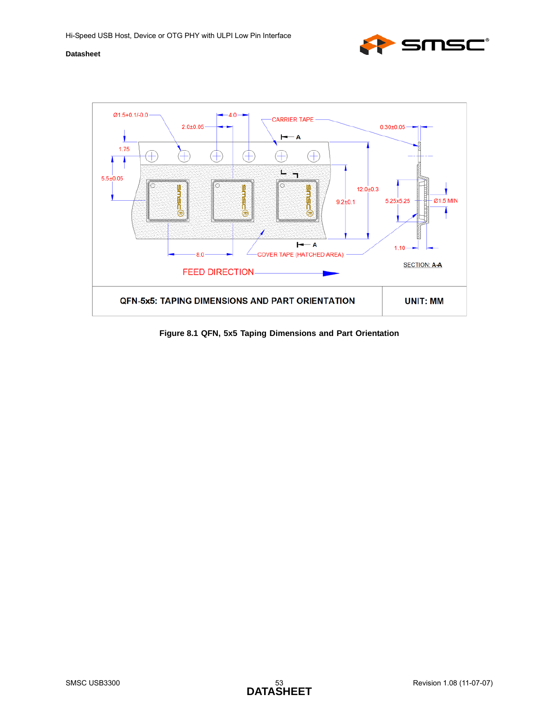



<span id="page-52-0"></span>**Figure 8.1 QFN, 5x5 Taping Dimensions and Part Orientation**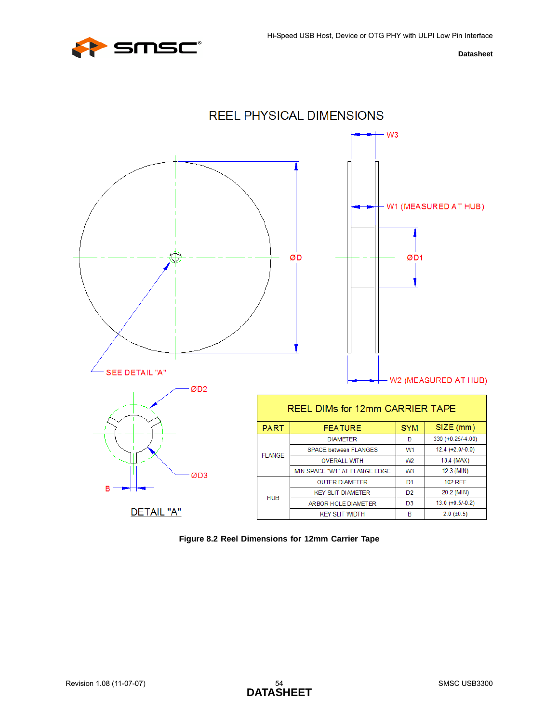



<span id="page-53-0"></span>**Figure 8.2 Reel Dimensions for 12mm Carrier Tape**